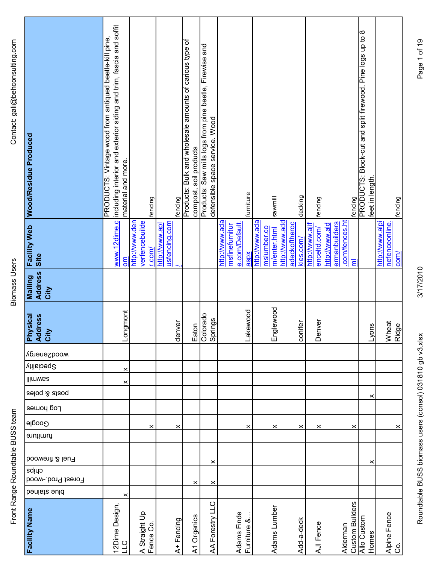Front Range Roundtable BUSS team Biomass Users Comass Users Comass Users Computers Contact: gali@behconsulting.com Front Range Roundtable BUSS team

**Biomass Users** 

| <b>Facility Name</b>       | Forest Prod.-wood<br>benists ould | Fuel & firewood<br>cuips | furniture      | Log homes<br>Google | asloq & atzoq | llimwaa | <b>Speciality</b> | wood2energy | <b>Physical</b><br>ress<br>Add<br>City | <b>Address</b><br><b>Builiew</b><br>City | <b>Facility Web</b><br>Site                                                | Wood/Residue Produced                                                                                                                     |
|----------------------------|-----------------------------------|--------------------------|----------------|---------------------|---------------|---------|-------------------|-------------|----------------------------------------|------------------------------------------|----------------------------------------------------------------------------|-------------------------------------------------------------------------------------------------------------------------------------------|
| 12Dime Design,             |                                   |                          |                |                     |               |         |                   |             |                                        |                                          |                                                                            | www.12dime.c including interior and exterior siding and trim, fascia and soffit<br>PRODUCTS: Vintage wood from antiqued beetle-kill pine, |
| A Straight Up<br>Fence Co. | ×                                 |                          | ×              |                     |               | ×       | ×                 |             | Longmont                               |                                          | verfencebuilde<br>http://www.den<br>$r_{\rm .com}/$<br>mo                  | material and more.<br>fencing                                                                                                             |
| A+Fencing                  |                                   |                          | ×              |                     |               |         |                   |             | denver                                 |                                          | usfencing.com<br>http://www.apl                                            | fencing                                                                                                                                   |
| A1 Organics                | ×                                 |                          |                |                     |               |         |                   |             | Eaton                                  |                                          |                                                                            | Products: Bulk and wholesale amounts of carious type of<br>compost, soil products                                                         |
| AA Forestry LLC            | $\times$                          | $\boldsymbol{\times}$    |                |                     |               |         |                   |             | Colorado<br>Springs                    |                                          |                                                                            | Products: Saw mills logs from pine beetle, Firewise and<br>defensible space service. Wood                                                 |
| Adams Finde<br>Furniture & |                                   |                          | ×              |                     |               |         |                   |             | Lakewood                               |                                          | http://www.ada<br>e.com/Default.<br>msfinefurnitur<br>aspx                 | furniture                                                                                                                                 |
| Adams Lumber               |                                   |                          | ×              |                     |               |         |                   |             | lewood<br>Engl                         |                                          | http://www.ada<br>mslumber.co<br>m/enter.html                              | sawmill                                                                                                                                   |
| Add-a-deck                 |                                   |                          | $\pmb{\times}$ |                     |               |         |                   |             | conifer                                |                                          | http://www.add<br>adeckoftheroc<br>kies.com/                               | decking                                                                                                                                   |
|                            |                                   |                          | ×              |                     |               |         |                   |             | Denver                                 |                                          | http://www.ajif<br>enceltd.com/                                            | fencing                                                                                                                                   |
| <b>Custom Builders</b>     |                                   |                          | ×              |                     |               |         |                   |             |                                        |                                          | .com/fences.ht<br>ermanbuilders<br>http://www.ald<br>$\overline{\epsilon}$ | fencing                                                                                                                                   |
| Allo Custom                |                                   | ×                        |                |                     | ×             |         |                   |             | Lyons                                  |                                          |                                                                            | PRODUCTS: Block-cut and split firewood. Pine logs up to 8<br>feet in length.                                                              |
| Alpine Fence<br>Co.        |                                   |                          | $\times$       |                     |               |         |                   |             | Wheat<br>Ridge                         |                                          | nefenceonline.<br>http://www.alpi<br>$com$                                 | fencing                                                                                                                                   |

3/17/2010

Roundtable BUSS biomass users (consol) 031810 gb v3.xlsx 3/17/2010 9b v3.xlsx 3/17/2010 Page 1 of 19 Roundtable BUSS biomass users (consol) 031810 gb v3.xlsx

Page 1 of 19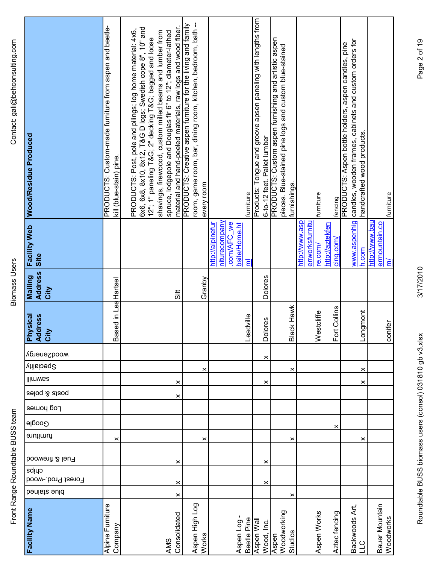| ミミラ<br>)<br>)<br>)<br>וספר   פס<br>$\frac{2}{2}$<br>ı<br>I<br>$\frac{1}{2}$ | I |
|-----------------------------------------------------------------------------|---|
|                                                                             |   |

| Facility Name                   | benists suld | cuips<br>Forest Prod.-wood | Fuel & firewood | furniture | Google | Log houes | aeloq & ateoq | llimwaa | wooqzeuergy<br>Speciality | <b>Physical</b><br>Address<br>City |                     | <b>Address</b><br>Mailing<br>City | <b>Facility Web</b><br>Site                                                                | <b>Wood/Residue Produced</b>                                                                                                                                                                                                                                                                                                                                                |
|---------------------------------|--------------|----------------------------|-----------------|-----------|--------|-----------|---------------|---------|---------------------------|------------------------------------|---------------------|-----------------------------------|--------------------------------------------------------------------------------------------|-----------------------------------------------------------------------------------------------------------------------------------------------------------------------------------------------------------------------------------------------------------------------------------------------------------------------------------------------------------------------------|
| Alpine Furniture<br>Company     |              |                            |                 | ×         |        |           |               |         |                           |                                    | Based in LeaHartsel |                                   |                                                                                            | PRODUCTS: Custom-made furniture from aspen and beetle-<br>kill (blue-stain) pine.                                                                                                                                                                                                                                                                                           |
| Consolidated<br>AMS             | ×            | ×                          | ×               |           |        |           | ×<br>×        |         |                           |                                    |                     | $\frac{11}{5}$                    |                                                                                            | material and hand-peeled materials, raw logs and wood fiber.<br>6x6, 6x8, 8x10, 8x12, T&G D logs; Swedish cope 8", 10" and<br>PRODUCTS: Post, pole and pilings; log home material: 4x6,<br>shavings, firewoood, custom milled beams and lumber from<br>spruce, lodgepole and Douglas fir 6" to 12"; diameter-lathed<br>12"; 1" paneling T&G 2" decking T&G bagged and loose |
| Aspen High Log<br>Works         |              |                            |                 | ×         |        |           |               | ×       |                           |                                    |                     | Granby                            |                                                                                            | room, game room, bar, dining room, kitchen, bedroom, bath --<br>PRODUCTS: Creative aspen furniture for the living and family<br>every room                                                                                                                                                                                                                                  |
| Aspen Log-<br>Beetle Pine       |              |                            |                 |           |        |           |               |         |                           | Leadville                          |                     |                                   | niturecompany<br>http://alpinefur<br>.com/AFC we<br>bsite/Home.ht<br>$\overline{\epsilon}$ | furniture                                                                                                                                                                                                                                                                                                                                                                   |
| Aspen Wall<br>Wood, Inc.        |              | ×                          | ×               |           |        |           | ×             |         | ×                         | <b>Dolores</b>                     |                     | <b>Dolores</b>                    |                                                                                            | Products: Tongue and groove apsen paneling with lengths from                                                                                                                                                                                                                                                                                                                |
| Woodworking<br>Studios<br>Aspen | ×            |                            |                 | ×         |        |           |               | ×       |                           | Black Hawk                         |                     |                                   |                                                                                            | 6-to-12 feet. Pallet lumber<br>PRODUCTS: Custom aspen furnishing and artistic aspen<br>pieces. Blue-stained pine logs and custom blue-stained<br>furnishings.                                                                                                                                                                                                               |
| Aspen Works                     |              |                            |                 |           |        |           |               |         |                           | Westcliffe                         |                     |                                   | http://www.asp<br>enworksfurnitu<br>re.com/                                                | furniture                                                                                                                                                                                                                                                                                                                                                                   |
| Aztec fencing                   |              |                            |                 |           | ×      |           |               |         |                           | Fort                               | Collins             |                                   | http://aztekfen<br>cing.com/                                                               | fencing                                                                                                                                                                                                                                                                                                                                                                     |
| Backwoods Art,<br>$\frac{1}{1}$ |              |                            |                 | ×         |        |           | ×             | ×       |                           | Longmont                           |                     |                                   | www.aspenhig<br>h.com                                                                      | candles, wooden frames, cabinets and custom orders for<br>PRODUCTS: Aspen bottle holders, aspen candles, pine<br>handcrafted wood products.                                                                                                                                                                                                                                 |
| Bauer Mountain<br>Woodworks     |              |                            |                 |           |        |           |               |         |                           | conifer                            |                     |                                   | http://www.bau<br>ermountain.co<br>$\overline{m}$                                          | furniture                                                                                                                                                                                                                                                                                                                                                                   |

3/17/2010

Roundtable BUSS biomass users (consol) 031810 gb v3.xlsx 3/17/2010 9b v3.xlsx 3/17/2010 Page 2 of 19 Roundtable BUSS biomass users (consol) 031810 gb v3.xlsx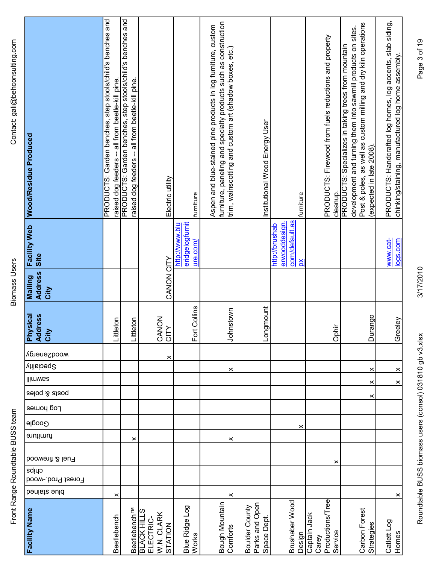Front Range Roundtable BUSS team Biomass Users Comass Users Comass Users Computers Contact: gali@behconsulting.com Front Range Roundtable BUSS team

**Biomass Users** 

| <b>Facility Name</b>                                     | benists suld   | cuips<br>Forest Prod.-wood | Fuel & firewood | furniture | Google | Log houses | aeloq & ateoq  | Speciality<br>llimwaa | wood2energy | <b>Physical</b><br><b>Address</b><br>City | Site<br><b>Address</b><br>Mailing<br>City |                                                   | Facility Web Wood/Residue Produced                                                                                                                                                                                 |
|----------------------------------------------------------|----------------|----------------------------|-----------------|-----------|--------|------------|----------------|-----------------------|-------------|-------------------------------------------|-------------------------------------------|---------------------------------------------------|--------------------------------------------------------------------------------------------------------------------------------------------------------------------------------------------------------------------|
| Beetlebench                                              | ×              |                            |                 |           |        |            |                |                       |             | Littleton                                 |                                           |                                                   | PRODUCTS: Garden benches, step stools/child's benches and<br>raised dog feeders -- all from beetle-kill pine.                                                                                                      |
| Beetlebench <sup>TM</sup>                                |                |                            |                 | ×         |        |            |                |                       |             | Littleton                                 |                                           |                                                   | PRODUCTS: Garden benches, step stools/child's benches and<br>raised dog feeders -- all from beetle-kill pine.                                                                                                      |
| <b>BLACK HILLS</b><br>W.N. CLARK<br>ELECTRIC-<br>STATION |                |                            |                 |           |        |            |                |                       | $\times$    | CANON<br>CITY                             | CANON CITY                                |                                                   | Electric utility                                                                                                                                                                                                   |
| Blue Ridge Log<br>Works                                  |                |                            |                 |           |        |            |                |                       |             | Collins<br>For                            |                                           | eridgelogfurnit<br>http://www.blu<br>ure.com/     | furniture                                                                                                                                                                                                          |
| Bough Mountain<br>Comforts                               | $\pmb{\times}$ |                            |                 | ×         |        |            |                | ×                     |             | Johnstown                                 |                                           |                                                   | furniture, paneling and specialty products such as construction<br>Aspen and blue-stained pine products in log furniture, custom<br>trim, wainscotting and custom art (shadow boxes, etc.)                         |
| Parks and Open<br>Boulder County<br>Space Dept.          |                |                            |                 |           |        |            |                |                       |             | Longmount                                 |                                           |                                                   | Institutional Wood Energy User                                                                                                                                                                                     |
| Brushaber Wood<br>Design                                 |                |                            |                 |           | ×      |            |                |                       |             |                                           | $\mathbf{\underline{\mathsf{X}}}$         | com/default.as<br>erwooddesign.<br>http://brushab | furniture                                                                                                                                                                                                          |
| Productions/Tree<br>Captain Jack<br>Service<br>Carey     |                | ×                          |                 |           |        |            |                |                       |             | Ophir                                     |                                           |                                                   | PRODUCTS: Firewood from fuels reductions and property<br>cleanup.                                                                                                                                                  |
| Carbon Forest<br>Strategies                              |                |                            |                 |           |        | ×          | $\pmb{\times}$ | $\pmb{\times}$        |             | Durango                                   |                                           |                                                   | Post & poles, as well as custom milling and dry kiln operations<br>development and turning them into sawmill products on sites.<br>PRODUCTS: Specializes in taking trees from mountain<br>(expected in late 2008). |
| Catlett Log<br>Homes                                     | ×              |                            |                 |           |        |            | $\times$       | $\times$              |             | Greeley                                   |                                           | www.cat-<br>logs.com                              | PRODUCTS: Handcrafted log homes, log accents, slab siding,<br>chinking/staining, manufactured log home assembly                                                                                                    |

Page 3 of 19

3/17/2010

Roundtable BUSS biomass users (consol) 031810 gb v3.xlsx 3/17/2010 Page 3 of 19<br>Roundtable BUSS Roundtable BUSS biomass users (consol) 031810 gb v3.xlsx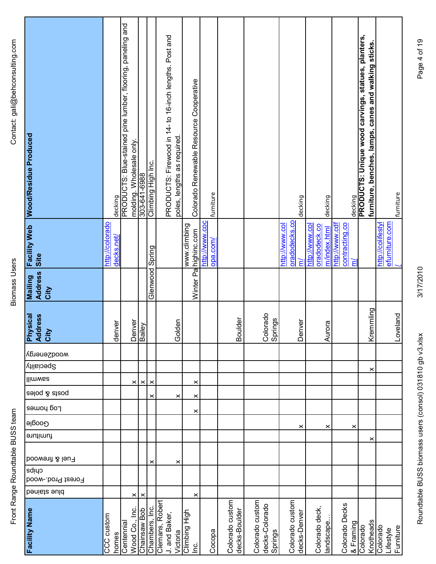**Biomass Users** 

| Wood/Residue Produced                    | decking                       | PRODUCTS: Blue-stained pine lumber, flooring, paneling and | molding. Wholesale only. | 8869-1-9-202     | Climbing High Inc. | PRODUCTS: Firewood in 14- to 16-inch lengths. Post and<br>poles, lengths as required | Colorado Renewable Resource Cooperative |                | furniture |                                  |                                              |                                 | decking      |                                | decking      |                                  | decking   | PRODUCTS: Unique wood carvings, statues, planters,<br>furniture, benches, lamps, canes and walking sticks |                   | furniture              |  |
|------------------------------------------|-------------------------------|------------------------------------------------------------|--------------------------|------------------|--------------------|--------------------------------------------------------------------------------------|-----------------------------------------|----------------|-----------|----------------------------------|----------------------------------------------|---------------------------------|--------------|--------------------------------|--------------|----------------------------------|-----------|-----------------------------------------------------------------------------------------------------------|-------------------|------------------------|--|
| <b>Facility Web</b><br>Site              | http://colorado<br>decks.net/ |                                                            |                          |                  |                    |                                                                                      | www.climbing<br>Winter Palnighinc.com   | http://www.coc | opa.com/  |                                  |                                              | oradodecks.co<br>http://www.col | ξ            | http://www.col<br>oradodeck.co | m/index.html | http://www.cdf<br>contracting.co | Е         |                                                                                                           | http://colifestyl | efurniture.com         |  |
| <b>Address</b><br><b>Mailing</b><br>City |                               |                                                            |                          |                  | Glenwood Spring    |                                                                                      |                                         |                |           |                                  |                                              |                                 |              |                                |              |                                  |           |                                                                                                           |                   |                        |  |
| <b>Physical</b><br>Address<br>City       | ğΓ<br>denv                    |                                                            |                          | Denver<br>Bailey |                    | Golden                                                                               |                                         |                |           | Boulder                          | Colorado<br>Springs                          |                                 | Denver       |                                | Aurora       |                                  |           | Kremmling                                                                                                 |                   | Loveland               |  |
| wood2energy                              |                               |                                                            |                          |                  |                    |                                                                                      |                                         |                |           |                                  |                                              |                                 |              |                                |              |                                  |           |                                                                                                           |                   |                        |  |
| <b>Speciality</b>                        |                               |                                                            |                          |                  |                    |                                                                                      |                                         |                |           |                                  |                                              |                                 |              |                                |              |                                  |           | $\pmb{\times}$                                                                                            |                   |                        |  |
| llimwaa                                  |                               |                                                            | $\times$                 | $\times$         | ×                  |                                                                                      | ×                                       |                |           |                                  |                                              |                                 |              |                                |              |                                  |           |                                                                                                           |                   |                        |  |
| səloq & atzoq                            |                               |                                                            |                          |                  | ×                  | ×                                                                                    | ×                                       |                |           |                                  |                                              |                                 |              |                                |              |                                  |           |                                                                                                           |                   |                        |  |
| Log house                                |                               |                                                            |                          |                  |                    |                                                                                      | $\times$                                |                |           |                                  |                                              |                                 |              |                                |              |                                  |           |                                                                                                           |                   |                        |  |
| Google                                   |                               |                                                            |                          |                  |                    |                                                                                      |                                         |                |           |                                  |                                              |                                 | ×            |                                | ×            |                                  | ×         |                                                                                                           |                   |                        |  |
| furniture                                |                               |                                                            |                          |                  |                    |                                                                                      |                                         |                |           |                                  |                                              |                                 |              |                                |              |                                  |           | ×                                                                                                         |                   |                        |  |
| Fuel & firewood                          |                               |                                                            |                          |                  | ×                  | ×                                                                                    |                                         |                |           |                                  |                                              |                                 |              |                                |              |                                  |           |                                                                                                           |                   |                        |  |
| cuips<br>Forest Prod.-wood               |                               |                                                            |                          |                  |                    |                                                                                      |                                         |                |           |                                  |                                              |                                 |              |                                |              |                                  |           |                                                                                                           |                   |                        |  |
| benists suld                             |                               |                                                            | ×                        | ×                |                    |                                                                                      | ×                                       |                |           |                                  |                                              |                                 |              |                                |              |                                  |           |                                                                                                           |                   |                        |  |
| <b>Facility Name</b>                     | CCC custom<br>homes           | Centennial                                                 | Wood Co., Inc.           | Chainsaw Bob     | Chambers, Inc.     | Clemans, Robert<br>J. and Baker,<br>Victoria                                         | Climbing High<br>c.                     |                | Cocopa    | Colorado custom<br>decks-Boulder | Colorado custom<br>decks-Colorado<br>Springs | Colorado custom                 | decks-Denver | Colorado deck,                 | andscape     | Colorado Decks                   | & Framing | Knotheads<br>Colorado                                                                                     | Colorado          | Furniture<br>_ifestyle |  |

Page 4 of 19

3/17/2010

Roundtable BUSS biomass users (consol) 031810 gb v3.xlsx 3/17/2010 9b v3.xlsx 3/17/2010 Page 4 of 19 Roundtable BUSS biomass users (consol) 031810 gb v3.xlsx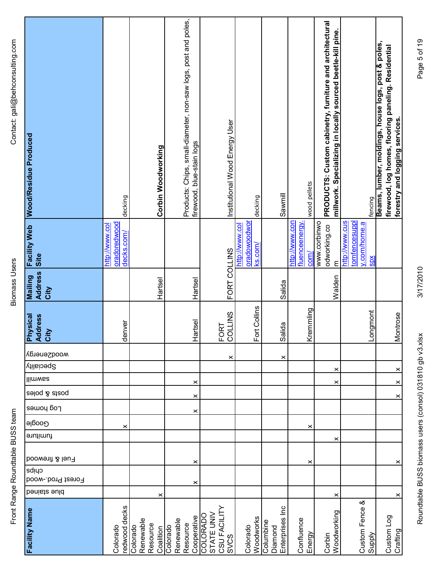**Biomass Users** 

| <b>Facility Name</b>                                         | benists suld   | cuips<br>Forest Prod.-wood | Fuel & firewood | furniture | <b>Google</b> | Log homes | seloq & atzoq | Speciality<br>llimwaa | wood2energy | <b>Physical</b><br><b>Address</b><br>City | <b>Address</b><br><b>Mailing</b><br>City | Site                                                          | Facility Web Wood/Residue Produced                                                                                                          |
|--------------------------------------------------------------|----------------|----------------------------|-----------------|-----------|---------------|-----------|---------------|-----------------------|-------------|-------------------------------------------|------------------------------------------|---------------------------------------------------------------|---------------------------------------------------------------------------------------------------------------------------------------------|
| redwood decks<br>Colorado                                    |                |                            |                 |           | ×             |           |               |                       |             | denver                                    |                                          | oradoredwood<br>http://www.col<br>decks.com/                  | decking                                                                                                                                     |
| Renewable<br>Resource<br>Colorado<br>Coalition               | ×              |                            |                 |           |               |           |               |                       |             |                                           | Hartsel                                  |                                                               | Corbin Woodworking                                                                                                                          |
| Cooperative<br>Renewable<br>Resource<br>Colorado             | $\pmb{\times}$ | ×                          |                 |           |               | ×<br>×    | ×             |                       |             | Hartsel                                   | Hartsel                                  |                                                               | Products: Chips, small-diameter, non-saw logs, post and poles,<br>firewood, blue-stain logs                                                 |
| CSU FACILITY<br>STATE UNIV<br><b>COLORADO</b><br><b>SVCS</b> |                |                            |                 |           |               |           |               |                       | ×           | <b>LLINS</b><br>FORT<br>COLLII            | FORT COLLINS                             |                                                               | Institutional Wood Energy User                                                                                                              |
| Woodworks<br>Colorado                                        |                |                            |                 |           |               |           |               |                       |             | Collins<br>For                            |                                          | oradowoodwor<br>http://www.col<br>ks.com/                     | decking                                                                                                                                     |
| Enterprises Inc<br>Columbine<br>Diamond                      |                |                            |                 |           |               |           |               |                       | ×           | Salida                                    | Salida                                   |                                                               | Sawmill                                                                                                                                     |
| Confluence<br>Energy                                         |                | $\times$                   |                 |           | $\times$      |           |               |                       |             | Kremmling                                 |                                          | fluenceenergy.<br>http://www.con<br>$com$                     | wood pellets                                                                                                                                |
| Woodworking<br>Corbin                                        | ×              |                            |                 | ×         |               |           | ×             | ×                     |             |                                           | Walden                                   | www.corbinwo<br>odworking.co<br>$\epsilon$                    | PRODUCTS: Custom cabinetry, furniture and architectural<br>millwork. Specializing in locally sourced beetle-kill pine.                      |
| Custom Fence &<br>Supply                                     |                |                            |                 |           |               |           |               |                       |             | Longmont                                  |                                          | http://www.cus<br>tomfencesuppl<br>y.com/home.a<br><b>SDX</b> | fencing                                                                                                                                     |
| Custom Log<br>Crafting                                       | ×              | ×                          |                 |           |               | $\times$  | $\times$      | $\times$              |             | Montrose                                  |                                          |                                                               | Beams, lumber, moldings, house logs, post & poles,<br>firewood, log homes, flooring paneling. Residential<br>forestry and logging services. |

3/17/2010

Roundtable BUSS biomass users (consol) 031810 gb v3.xlsx 3/17/2010 9b v3.xlsx 3/17/2010 Page 5 of 19 Roundtable BUSS biomass users (consol) 031810 gb v3.xlsx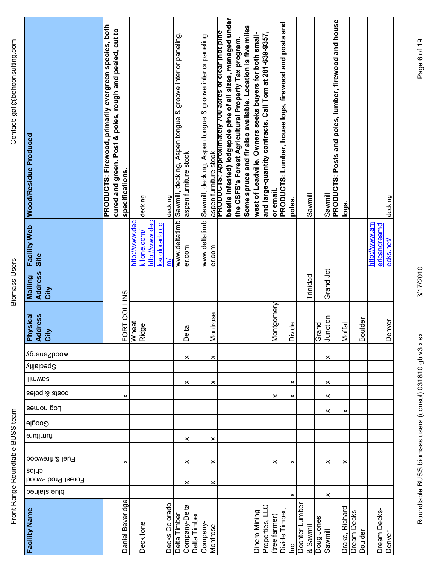**Biomass Users** 

| Mailing Facility Web Wood/Residue Produced | PRODUCTS: Firewood, primarily evergreen species, both<br>cured and green. Post & poles, rough and peeled, cut to<br>specifications. |                       | decking            |                | decking            | Sawmill, decking, Aspen tongue & groove interior paneling, | aspen furniture stock | Sawmill, decking, Aspen tongue & groove interior paneling, |          | beetle infested) lodgepole pine of all sizes, managed under<br>Some spruce and fir also available. Location is five miles<br>aspen furniture stock<br>PRODUCTS: Approximately 700 acres of clear (not pine<br>the CSFS's Forest Agricultural Property Tax program. | west of Leadville. Owners seeks buyers for both small- | and large-quantity contracts. Call Tom at 281-639-9357,<br>or email. | PRODUCTS: Lumber, house logs, firewood and posts and | poles.    | Sawmill                   |            |           | Sawmill<br>PRODUCTS: Posts and poles, lumber, firewood and house<br>logs. |             |         |                               | decking   |
|--------------------------------------------|-------------------------------------------------------------------------------------------------------------------------------------|-----------------------|--------------------|----------------|--------------------|------------------------------------------------------------|-----------------------|------------------------------------------------------------|----------|--------------------------------------------------------------------------------------------------------------------------------------------------------------------------------------------------------------------------------------------------------------------|--------------------------------------------------------|----------------------------------------------------------------------|------------------------------------------------------|-----------|---------------------------|------------|-----------|---------------------------------------------------------------------------|-------------|---------|-------------------------------|-----------|
| Site                                       |                                                                                                                                     | http://www.dec        | k1 <u>one.com/</u> | http://www.dec | kscolorado.co<br>ξ | www.deltatimb                                              | er.com                | www.deltatimb                                              | er.com   |                                                                                                                                                                                                                                                                    |                                                        |                                                                      |                                                      |           |                           |            |           |                                                                           |             |         | http://www.am<br>ericandreamd | ecks.net/ |
| <b>Address</b><br>City                     |                                                                                                                                     |                       |                    |                |                    |                                                            |                       |                                                            |          |                                                                                                                                                                                                                                                                    |                                                        |                                                                      |                                                      |           | Trinidad                  |            | Grand Jct |                                                                           |             |         |                               |           |
| <b>Physical</b><br><b>Address</b><br>City  |                                                                                                                                     | FORT COLLINS<br>Wheat | Ridge              |                |                    |                                                            | Delta                 |                                                            | Montrose |                                                                                                                                                                                                                                                                    |                                                        | Montgomery                                                           |                                                      | Divide    |                           | Grand      | Junction  | Moffat                                                                    |             | Boulder |                               | Denver    |
| wood2energy                                |                                                                                                                                     |                       |                    |                |                    |                                                            | $\times$              |                                                            | ×        |                                                                                                                                                                                                                                                                    |                                                        |                                                                      |                                                      |           |                           |            | ×         |                                                                           |             |         |                               |           |
| <b>Villaioeq</b> <sup>2</sup>              |                                                                                                                                     |                       |                    |                |                    |                                                            |                       |                                                            |          |                                                                                                                                                                                                                                                                    |                                                        |                                                                      |                                                      |           |                           |            |           |                                                                           |             |         |                               |           |
| llimwaa                                    |                                                                                                                                     |                       |                    |                |                    |                                                            | ×                     |                                                            | ×        |                                                                                                                                                                                                                                                                    |                                                        |                                                                      |                                                      | ×         |                           |            | ×         |                                                                           |             |         |                               |           |
| asloq & atzoq                              |                                                                                                                                     | ×                     |                    |                |                    |                                                            |                       |                                                            |          |                                                                                                                                                                                                                                                                    |                                                        | ×                                                                    |                                                      | ×         |                           |            | ×         |                                                                           |             |         |                               |           |
| Log homes                                  |                                                                                                                                     |                       |                    |                |                    |                                                            |                       |                                                            |          |                                                                                                                                                                                                                                                                    |                                                        |                                                                      |                                                      |           |                           |            | ×         | ×                                                                         |             |         |                               |           |
| Google                                     |                                                                                                                                     |                       |                    |                |                    |                                                            |                       |                                                            |          |                                                                                                                                                                                                                                                                    |                                                        |                                                                      |                                                      |           |                           |            |           |                                                                           |             |         |                               |           |
| furniture                                  |                                                                                                                                     |                       |                    |                |                    |                                                            | ×                     |                                                            | ×        |                                                                                                                                                                                                                                                                    |                                                        |                                                                      |                                                      |           |                           |            |           |                                                                           |             |         |                               |           |
| Fuel & firewood                            |                                                                                                                                     | ×                     |                    |                |                    |                                                            | $\times$              |                                                            | ×        |                                                                                                                                                                                                                                                                    |                                                        | ×                                                                    |                                                      | ×         |                           |            | ×         | ×                                                                         |             |         |                               |           |
| cuipa<br>Forest Prod.-wood                 |                                                                                                                                     |                       |                    |                |                    |                                                            | $\times$              |                                                            | ×        |                                                                                                                                                                                                                                                                    |                                                        |                                                                      |                                                      |           |                           |            |           |                                                                           |             |         |                               |           |
| benists suld                               |                                                                                                                                     |                       |                    |                |                    |                                                            |                       |                                                            |          |                                                                                                                                                                                                                                                                    |                                                        |                                                                      |                                                      | ×         |                           |            | ×         |                                                                           |             |         |                               |           |
| <b>Facility Name</b>                       | Daniel Beveridge                                                                                                                    |                       | Deck1one           |                | Decks Colorado     | Delta Timber                                               | Company-Delta         | Delta Timber<br>Company-                                   | Montrose |                                                                                                                                                                                                                                                                    | Dinero Mining                                          | Properties, LLC<br>tree farmer)                                      | Divide Timber                                        | <u>ic</u> | Dochter Lumber<br>Sawmill | Doug Jones | Sawmill   | Drake, Richard                                                            | Dream Decks | Boulder | Dream Decks-                  | Denver    |

Page 6 of 19

Roundtable BUSS biomass users (consol) 031810 gb v3.xlsx 3/17/2010 9b v3.xlsx 3/17/2010 Page 6 of 19 Roundtable BUSS biomass users (consol) 031810 gb v3.xlsx

3/17/2010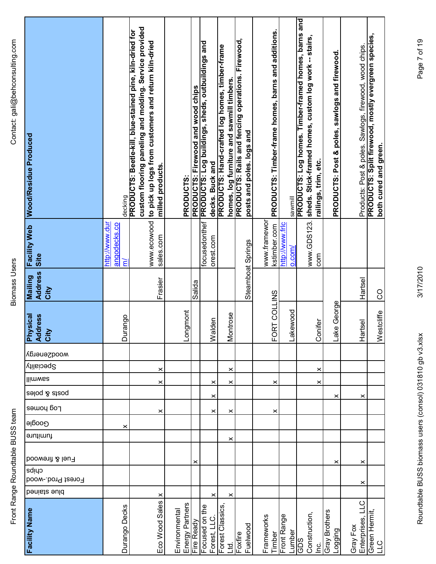**Biomass Users** 

| Facility Web Wood/Residue Produced            | decking                             | custom flooring paneling and molding. Service provided<br>PRODUCTS: Beetle-kill, blue-stained pine, kiln-dried for<br>www.ecowood to pick up logs from customers and return kiln-dried<br>milled products. | PRODUCTS:                        | PRODUCTS: Firewood and wood chips | PRODUCTS: Log buildings, sheds, outbuildings and | decks. Buck and | PRODUCTS: Hand-crafted log homes, timber-frame<br>homes, log furniture and sawmill timbers. | <b>PRODUCTS: Rails and fencing operations. Firewood,</b><br>posts and poles. logs and | PRODUCTS: Timber-frame homes, barns and additions. | sawmill                              | <b>PRODUCTS: Log homes. Timber-framed homes, barns and</b><br>sheds. Stick-framed homes, custom log work -- stairs, | railings, trim, etc. | PRODUCTS: Post & poles, sawlogs and firewood. | Products: Post & poles. Sawlogs, firewood, wood chips. | PRODUCTS: Split firewood, mostly evergreen species,<br>both cured and green. |
|-----------------------------------------------|-------------------------------------|------------------------------------------------------------------------------------------------------------------------------------------------------------------------------------------------------------|----------------------------------|-----------------------------------|--------------------------------------------------|-----------------|---------------------------------------------------------------------------------------------|---------------------------------------------------------------------------------------|----------------------------------------------------|--------------------------------------|---------------------------------------------------------------------------------------------------------------------|----------------------|-----------------------------------------------|--------------------------------------------------------|------------------------------------------------------------------------------|
| Site                                          | http://www.dur<br>angodecks.co<br>ξ | sales.com                                                                                                                                                                                                  |                                  |                                   | focusedonthef                                    | orest.com       |                                                                                             |                                                                                       | www.framewor<br>kstimber.com                       | http://www.frlc<br>0.00 <sub>m</sub> | www.GDS123.                                                                                                         | com                  |                                               |                                                        |                                                                              |
| <b>Address</b><br>Mailing<br>City             |                                     | Frasier                                                                                                                                                                                                    |                                  | Salida                            |                                                  |                 |                                                                                             | Steamboat Springs                                                                     |                                                    |                                      |                                                                                                                     |                      |                                               | Hartsel                                                | <b>CO</b>                                                                    |
| Physical<br><b>ress</b><br><b>Add</b><br>City | Durango                             |                                                                                                                                                                                                            | <u>Longmont</u>                  |                                   |                                                  | ۵Ę<br>Wald      | Montrose                                                                                    |                                                                                       | FORT COLLINS                                       | Lakewood                             |                                                                                                                     | Conifer              | George<br>Lake                                | Hartsel                                                | tcliffe<br>West                                                              |
| wooqzeuergy                                   |                                     |                                                                                                                                                                                                            |                                  |                                   |                                                  |                 |                                                                                             |                                                                                       |                                                    |                                      |                                                                                                                     |                      |                                               |                                                        |                                                                              |
| <b>Speciality</b>                             |                                     | ×                                                                                                                                                                                                          |                                  |                                   |                                                  |                 | ×                                                                                           |                                                                                       |                                                    |                                      |                                                                                                                     | ×                    |                                               |                                                        |                                                                              |
| llimwaa                                       |                                     | ×                                                                                                                                                                                                          |                                  |                                   |                                                  | ×               | ×                                                                                           |                                                                                       | ×                                                  |                                      |                                                                                                                     | ×                    |                                               |                                                        |                                                                              |
| posts & poles                                 |                                     |                                                                                                                                                                                                            |                                  |                                   |                                                  | ×               |                                                                                             |                                                                                       |                                                    |                                      |                                                                                                                     |                      | ×                                             | ×                                                      |                                                                              |
| Log houses                                    |                                     | ×                                                                                                                                                                                                          |                                  |                                   |                                                  | ×               | ×                                                                                           |                                                                                       | ×                                                  |                                      |                                                                                                                     |                      |                                               |                                                        |                                                                              |
| Google                                        | ×                                   |                                                                                                                                                                                                            |                                  |                                   |                                                  |                 |                                                                                             |                                                                                       |                                                    |                                      |                                                                                                                     |                      |                                               |                                                        |                                                                              |
| furniture                                     |                                     |                                                                                                                                                                                                            |                                  |                                   |                                                  |                 | ×                                                                                           |                                                                                       |                                                    |                                      |                                                                                                                     |                      |                                               |                                                        |                                                                              |
| Fuel & firewood                               |                                     |                                                                                                                                                                                                            |                                  | ×                                 |                                                  |                 |                                                                                             |                                                                                       |                                                    |                                      |                                                                                                                     |                      | ×                                             | $\times$                                               |                                                                              |
| cuips<br>Forest Prod.-wood                    |                                     |                                                                                                                                                                                                            |                                  |                                   |                                                  |                 |                                                                                             |                                                                                       |                                                    |                                      |                                                                                                                     |                      |                                               | ×                                                      |                                                                              |
| benists suld                                  |                                     | $\times$                                                                                                                                                                                                   |                                  |                                   |                                                  | ×               | ×                                                                                           |                                                                                       |                                                    |                                      |                                                                                                                     |                      |                                               |                                                        |                                                                              |
| <b>Facility Name</b>                          | Durango Decks                       | Eco Wood Sales                                                                                                                                                                                             | Energy Partners<br>Environmental | Fire Ready                        | Focused on the                                   | Forest, LLC     | Forest Classics<br>Ltd.                                                                     | Fuelwood<br>Foxfire                                                                   | Frameworks<br>Timber                               | Front Range<br>Lumber                | Construction<br>GDS                                                                                                 | ن<br>ا               | Gray Brothers<br>Logging                      | Enterprises, LLC<br>Gray Fox                           | Green Hermit<br>$L_{\rm C}$                                                  |

3/17/2010

Roundtable BUSS biomass users (consol) 031810 gb v3.xlsx 3/17/2010 9b v3.xlsx 3/17/2010 Page 7 of 19 Roundtable BUSS biomass users (consol) 031810 gb v3.xlsx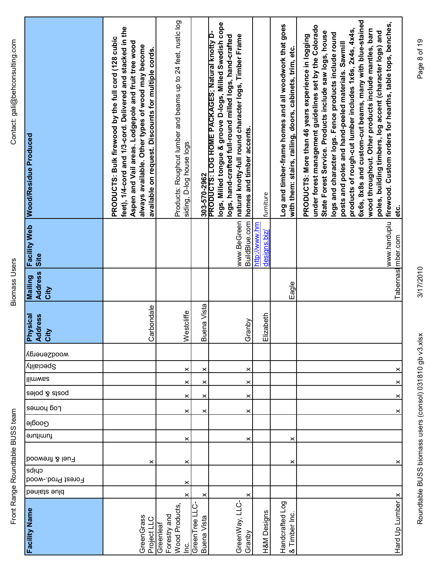**Biomass Users** 

| Contact: gali@behconsulting.com  | <b>Wood/Residue Produced</b>                     | feet), 1/4-cord and 1/3-cord. Delivered and stacked in the<br>PRODUCTS: Bulk firewood by the full cord (128 cubic<br>Aspen and Vail areas. Lodgepole and fruit tree wood<br>always available. Other types of wood may become<br>available on request. Discounts for multiple cords. | Products: Roughcut lumber and beams up to 24 feet, rustic log<br>siding, D-log house logs | 303-570-2962                 | logs, Milled tongue & groove D-logs, Milled Swedish cope<br>PRODUCTS: LOG HOME PACKAGES; Natural knotty D-<br>natural knotty-full round character logs, Timber Frame<br>logs, hand-crafted full-round milled logs, hand-crafted<br>homes and timber accents. | furniture                            | Log and timber-frame homes and all woodwork that goes<br>with them: stairs, railing, doors, cabinets, trim, etc. | 6x6s, 8x8s and custom-cut beams, many with blue-stained<br>www.harduplu firewood. Custom orders for hearths, table tops, benches,<br>under forest management guidelines set by the Colorado<br>products of rough-cut lumber includes 1x6s, 2x4s, 4x4s,<br>wood throughout. Other products include mantles, barn<br>State Forest Service. Products include saw logs, house<br>poles, building timbers, log accent (character logs) and<br>logs and character logs. Fence products include round<br>PRODUCTS: More than 46 years experience in logging<br>posts and poles and hand-peeled materials. Sawmill<br>etc. |
|----------------------------------|--------------------------------------------------|-------------------------------------------------------------------------------------------------------------------------------------------------------------------------------------------------------------------------------------------------------------------------------------|-------------------------------------------------------------------------------------------|------------------------------|--------------------------------------------------------------------------------------------------------------------------------------------------------------------------------------------------------------------------------------------------------------|--------------------------------------|------------------------------------------------------------------------------------------------------------------|--------------------------------------------------------------------------------------------------------------------------------------------------------------------------------------------------------------------------------------------------------------------------------------------------------------------------------------------------------------------------------------------------------------------------------------------------------------------------------------------------------------------------------------------------------------------------------------------------------------------|
|                                  | <b>Facility Web</b><br>Site                      |                                                                                                                                                                                                                                                                                     |                                                                                           |                              | www.BeGreen<br>BuildBlue.com                                                                                                                                                                                                                                 | http://www.hm<br><u>designs.biz/</u> |                                                                                                                  | Tabernast mber.com                                                                                                                                                                                                                                                                                                                                                                                                                                                                                                                                                                                                 |
| <b>Biomass Users</b>             | <b>Address</b><br>Mailing<br>City                |                                                                                                                                                                                                                                                                                     |                                                                                           |                              |                                                                                                                                                                                                                                                              |                                      | Eagle                                                                                                            |                                                                                                                                                                                                                                                                                                                                                                                                                                                                                                                                                                                                                    |
|                                  | ddress<br>hysical<br><b>Aip<br/>Napy</b><br>Orby | Carbondale                                                                                                                                                                                                                                                                          | estcliffe<br>≥                                                                            | <b>Buena Vista</b>           | Granby                                                                                                                                                                                                                                                       | lizabeth<br>匝                        |                                                                                                                  |                                                                                                                                                                                                                                                                                                                                                                                                                                                                                                                                                                                                                    |
|                                  | wooqzeuergy                                      |                                                                                                                                                                                                                                                                                     |                                                                                           |                              |                                                                                                                                                                                                                                                              |                                      |                                                                                                                  |                                                                                                                                                                                                                                                                                                                                                                                                                                                                                                                                                                                                                    |
|                                  | Speciality                                       |                                                                                                                                                                                                                                                                                     | ×                                                                                         | ×                            | ×                                                                                                                                                                                                                                                            |                                      |                                                                                                                  | ×                                                                                                                                                                                                                                                                                                                                                                                                                                                                                                                                                                                                                  |
|                                  | llimwaa                                          |                                                                                                                                                                                                                                                                                     | ×                                                                                         | ×                            | ×                                                                                                                                                                                                                                                            |                                      |                                                                                                                  | ×                                                                                                                                                                                                                                                                                                                                                                                                                                                                                                                                                                                                                  |
|                                  | posts & poles                                    |                                                                                                                                                                                                                                                                                     | ×                                                                                         | ×                            | ×                                                                                                                                                                                                                                                            |                                      |                                                                                                                  | ×                                                                                                                                                                                                                                                                                                                                                                                                                                                                                                                                                                                                                  |
|                                  | Log homes                                        |                                                                                                                                                                                                                                                                                     | ×                                                                                         | ×                            | $\times$                                                                                                                                                                                                                                                     |                                      |                                                                                                                  | ×                                                                                                                                                                                                                                                                                                                                                                                                                                                                                                                                                                                                                  |
|                                  | ၉၀၀၀ျ                                            |                                                                                                                                                                                                                                                                                     |                                                                                           |                              |                                                                                                                                                                                                                                                              |                                      |                                                                                                                  |                                                                                                                                                                                                                                                                                                                                                                                                                                                                                                                                                                                                                    |
|                                  | furniture                                        |                                                                                                                                                                                                                                                                                     | ×                                                                                         |                              | ×                                                                                                                                                                                                                                                            |                                      | ×                                                                                                                |                                                                                                                                                                                                                                                                                                                                                                                                                                                                                                                                                                                                                    |
| Front Range Roundtable BUSS team | Fuel & firewood                                  | ×                                                                                                                                                                                                                                                                                   | ×                                                                                         |                              |                                                                                                                                                                                                                                                              |                                      | ×                                                                                                                | ×                                                                                                                                                                                                                                                                                                                                                                                                                                                                                                                                                                                                                  |
|                                  | cuips<br>Forest Prod.-wood                       |                                                                                                                                                                                                                                                                                     | ×                                                                                         |                              |                                                                                                                                                                                                                                                              |                                      |                                                                                                                  |                                                                                                                                                                                                                                                                                                                                                                                                                                                                                                                                                                                                                    |
|                                  | benists ould                                     |                                                                                                                                                                                                                                                                                     | ×                                                                                         | ×                            |                                                                                                                                                                                                                                                              |                                      |                                                                                                                  | ×                                                                                                                                                                                                                                                                                                                                                                                                                                                                                                                                                                                                                  |
|                                  | <b>Facility Name</b>                             | GreenGrass<br>Project LLC                                                                                                                                                                                                                                                           | Wood Products<br>Forestry and<br>Greenleaf<br>ن<br>⊇                                      | GreenTree LLC<br>Buena Vista | GreenWay, LLC-<br>Granby                                                                                                                                                                                                                                     | H&M Designs                          | Handcrafted Log<br>& Timber Inc                                                                                  | Hard Up Lumber                                                                                                                                                                                                                                                                                                                                                                                                                                                                                                                                                                                                     |

Page 8 of 19

3/17/2010

Roundtable BUSS biomass users (consol) 031810 gb v3.xlsx 3/17/2010 9b v3.xlsx 3/17/2010 Page 8 of 19 Roundtable BUSS biomass users (consol) 031810 gb v3.xlsx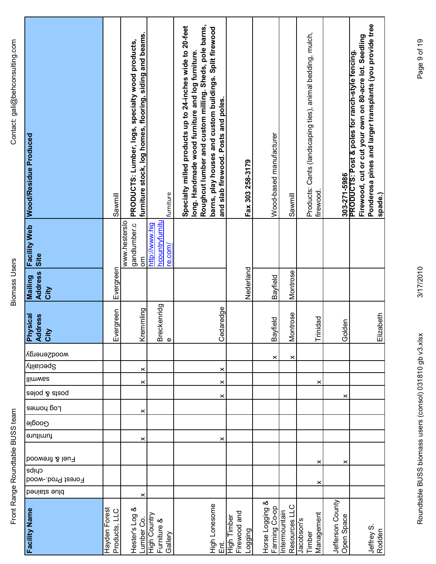**Biomass Users** 

| Facility Web Wood/Residue Produced     | Sawmill                        | furniture stock, log homes, flooring, siding and beams.<br>PRODUCTS: Lumber, logs, specialty wood products, | furniture                                           | Roughcut lumber and custom milling. Sheds, pole barns,<br>Specialty milled products up to 24-inches wide to 20-feet<br>barns, play houses and custom buildings. Split firewood<br>long. Handmade wood furniture and log furniture.<br>and slab firewood. Posts and poles. | Fax 303 258-3179                       | Wood-based manufacturer          | Sawmill                        | Products: Cants (landscaping ties), animal bedding, mulch,<br>firewood. | 303-271-5986                   | Ponderosa pines and larger transplants (you provide tree<br>Firewood, cut or cut your own on 80-acre lot. Seedling<br>PRODUCTS: Post & poles for ranch-style fencing.<br>spade.) |
|----------------------------------------|--------------------------------|-------------------------------------------------------------------------------------------------------------|-----------------------------------------------------|---------------------------------------------------------------------------------------------------------------------------------------------------------------------------------------------------------------------------------------------------------------------------|----------------------------------------|----------------------------------|--------------------------------|-------------------------------------------------------------------------|--------------------------------|----------------------------------------------------------------------------------------------------------------------------------------------------------------------------------|
| Site                                   |                                | www.hesterslo<br>gandlumber.c<br>mo                                                                         | <b>hcountryfurnitu</b><br>http://www.hig<br>re.com/ |                                                                                                                                                                                                                                                                           |                                        |                                  |                                |                                                                         |                                |                                                                                                                                                                                  |
| <b>Address</b><br>Mailing<br>City      | Evergreen                      |                                                                                                             |                                                     |                                                                                                                                                                                                                                                                           | Nederland                              | Bayfield                         | Montrose                       |                                                                         |                                |                                                                                                                                                                                  |
| <b>Lessical</b><br>ress<br>Add<br>City | Evergreen                      | Kremmling                                                                                                   | Breckenridg<br>$\pmb{\mathbb{O}}$                   | Cedaredge                                                                                                                                                                                                                                                                 |                                        | $\frac{1}{2}$<br>Bayfi           | trose<br><b>Mont</b>           | Trinidad                                                                | Golden                         | Elizabeth                                                                                                                                                                        |
| wooqgeuergy                            |                                |                                                                                                             |                                                     |                                                                                                                                                                                                                                                                           |                                        | ×                                | ×                              |                                                                         |                                |                                                                                                                                                                                  |
| <b>Speciality</b>                      |                                | $\times$                                                                                                    |                                                     | ×                                                                                                                                                                                                                                                                         |                                        |                                  |                                |                                                                         |                                |                                                                                                                                                                                  |
| llimwaa                                |                                | $\times$                                                                                                    |                                                     | ×                                                                                                                                                                                                                                                                         |                                        |                                  |                                | ×                                                                       |                                |                                                                                                                                                                                  |
| posts & poles                          |                                |                                                                                                             |                                                     | ×                                                                                                                                                                                                                                                                         |                                        |                                  |                                |                                                                         | ×                              |                                                                                                                                                                                  |
| Log houes                              |                                | $\boldsymbol{\times}$                                                                                       |                                                     |                                                                                                                                                                                                                                                                           |                                        |                                  |                                |                                                                         |                                |                                                                                                                                                                                  |
| Google                                 |                                |                                                                                                             |                                                     |                                                                                                                                                                                                                                                                           |                                        |                                  |                                |                                                                         |                                |                                                                                                                                                                                  |
| furniture                              |                                | ×                                                                                                           |                                                     | ×                                                                                                                                                                                                                                                                         |                                        |                                  |                                |                                                                         |                                |                                                                                                                                                                                  |
| Fuel & firewood                        |                                |                                                                                                             |                                                     |                                                                                                                                                                                                                                                                           |                                        |                                  |                                | ×                                                                       | ×                              |                                                                                                                                                                                  |
| cuips<br>Forest Prod.-wood             |                                |                                                                                                             |                                                     |                                                                                                                                                                                                                                                                           |                                        |                                  |                                |                                                                         |                                |                                                                                                                                                                                  |
| benists suld                           |                                | ×                                                                                                           |                                                     |                                                                                                                                                                                                                                                                           |                                        |                                  |                                | ×                                                                       |                                |                                                                                                                                                                                  |
| <b>Facility Name</b>                   | Hayden Forest<br>Products, LLC | Hester's Log &<br>Lumber Co.                                                                                | High Country<br>Furniture &<br>Gallery              | High Lonesome<br>だい                                                                                                                                                                                                                                                       | Firewood and<br>High Timber<br>_ogging | Horse Logging &<br>Farming Co-op | Resources LLC<br>Intermountain | Management<br>Jacobson's<br>Timber                                      | Jefferson County<br>Open Space | Jeffrey S.<br>Rodden                                                                                                                                                             |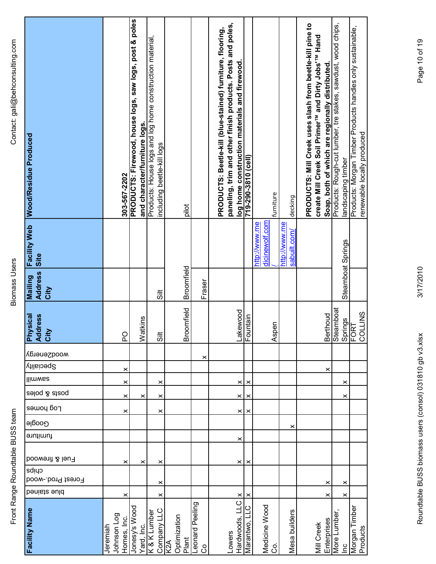| Š<br>-<br>7                           |
|---------------------------------------|
| $\frac{1}{2}$<br>$\ddot{\phantom{a}}$ |
| š<br>١<br>Į                           |
| ،<br>٥                                |

| Facility Web Wood/Residue Produced        | 303-567-2202                           | PRODUCTS: Firewood, house logs, saw logs, post & poles<br>and character/furniture logs. | Products: House logs and log home construction material,<br>including beetle-kill logs | pilot                        |                      | paneling, trim and other finish products. Posts and poles,<br>PRODUCTS: Beetle-kill (blue-stained) furniture, flooring,<br>log home construction materials and firewood. | T19-290-3810 (cell)  | furniture                       | decking                       | PRODUCTS: Mill Creek uses slash from beetle-kill pine to<br>create Mill Creek Soil Primer <sup>TM</sup> and Dirty Jobs' <sup>TM</sup> Hand<br>Soap, both of which are regionally distributed. | Products: Rough-cut lumber, tre stakes, sawdust, wood chips,<br>landscaping timber | Products: Morgan Timber Products handles only sustainable,<br>renewable locally produced |
|-------------------------------------------|----------------------------------------|-----------------------------------------------------------------------------------------|----------------------------------------------------------------------------------------|------------------------------|----------------------|--------------------------------------------------------------------------------------------------------------------------------------------------------------------------|----------------------|---------------------------------|-------------------------------|-----------------------------------------------------------------------------------------------------------------------------------------------------------------------------------------------|------------------------------------------------------------------------------------|------------------------------------------------------------------------------------------|
| Site                                      |                                        |                                                                                         |                                                                                        |                              |                      |                                                                                                                                                                          |                      | dicinewolf.com<br>http://www.me | http://www.me<br>sabuilt.com/ |                                                                                                                                                                                               |                                                                                    |                                                                                          |
| <b>Address</b><br><b>Mailing</b><br>City  |                                        |                                                                                         | $\ddot{5}$                                                                             | Broomfield                   | Fraser               |                                                                                                                                                                          |                      |                                 |                               |                                                                                                                                                                                               | Steamboat Springs                                                                  |                                                                                          |
| <b>Physical</b><br><b>Address</b><br>City | <b>PO</b>                              | kins<br>Watl                                                                            | $\frac{1}{5}$                                                                          | Broomfield                   |                      |                                                                                                                                                                          | Lakewood<br>Fountain | <b>Aspen</b>                    |                               | Berthoud                                                                                                                                                                                      | Steamboat                                                                          | COLLINS<br>Springs<br>FORT                                                               |
| wooqzeuergy                               |                                        |                                                                                         |                                                                                        |                              | ×                    |                                                                                                                                                                          |                      |                                 |                               |                                                                                                                                                                                               |                                                                                    |                                                                                          |
| <b>Speciality</b>                         | $\times$                               |                                                                                         |                                                                                        |                              |                      |                                                                                                                                                                          |                      |                                 |                               | ×                                                                                                                                                                                             |                                                                                    |                                                                                          |
| llimwaa                                   | $\times$                               |                                                                                         | $\times$                                                                               |                              |                      |                                                                                                                                                                          | $\times$<br>×        |                                 |                               |                                                                                                                                                                                               | $\times$                                                                           |                                                                                          |
| aeloq & atzoq                             | ×                                      | ×                                                                                       | $\times$                                                                               |                              |                      |                                                                                                                                                                          | $\times$<br>$\times$ |                                 |                               |                                                                                                                                                                                               | ×                                                                                  |                                                                                          |
| Log bouse                                 | ×                                      |                                                                                         | ×                                                                                      |                              |                      |                                                                                                                                                                          | $\times$<br>×        |                                 |                               |                                                                                                                                                                                               |                                                                                    |                                                                                          |
| Google<br>furniture                       |                                        |                                                                                         |                                                                                        |                              |                      |                                                                                                                                                                          |                      |                                 | ×                             |                                                                                                                                                                                               |                                                                                    |                                                                                          |
|                                           |                                        |                                                                                         |                                                                                        |                              |                      |                                                                                                                                                                          | ×                    |                                 |                               |                                                                                                                                                                                               |                                                                                    |                                                                                          |
| Fuel & firewood                           | ×                                      | ×                                                                                       | ×                                                                                      |                              |                      |                                                                                                                                                                          | $\times$<br>×        |                                 |                               |                                                                                                                                                                                               |                                                                                    |                                                                                          |
| cuips<br>Forest Prod.-wood                |                                        |                                                                                         |                                                                                        |                              |                      |                                                                                                                                                                          |                      |                                 |                               |                                                                                                                                                                                               |                                                                                    |                                                                                          |
| benists suld                              | ×                                      |                                                                                         | ×<br>×                                                                                 |                              |                      |                                                                                                                                                                          | $\times$<br>×        |                                 |                               | ×<br>×                                                                                                                                                                                        | $\times$<br>×                                                                      |                                                                                          |
| <b>Facility Name</b>                      | Johnson Log<br>Homes, Inc.<br>Jeremiah | Jonesy's Wood<br>Yard, Inc.                                                             | Company LLC<br>K & K Lumber                                                            | Optimization<br>Plant<br>K2A | eonard Peeling<br>රි | Hardwoods, LLC<br>Lowers                                                                                                                                                 | ں<br>ا<br>Marantwo,  | Medicine Wood<br>ပ္ပိ           | Mesa builders                 | Enterprises<br>Mill Creek                                                                                                                                                                     | More Lumber<br>$\overline{a}$                                                      | Morgan Timber<br>Products                                                                |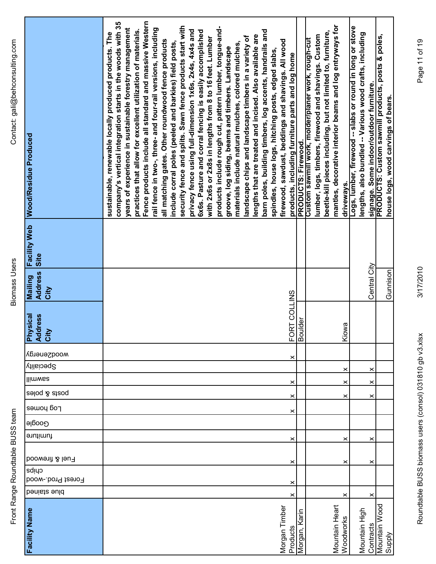| $\overline{\phantom{0}}$<br>I<br>)<br>5<br>2<br>)<br>)<br>、<br>iompocal leai<br>うりこう |                      |  | $\frac{1}{2}$ |
|--------------------------------------------------------------------------------------|----------------------|--|---------------|
|                                                                                      | <b>2000 00111000</b> |  |               |
|                                                                                      |                      |  |               |

| Facility Web Wood/Residue Produced                                | Fence products include all standard and massive Western<br>company's vertical integration starts in the woods with 35<br>security fence and splits. Sawn fence products start with<br>products include rough cut, pattern lumber, tongue-and-<br>rail fence in two-, three- and four-rail versions, including<br>years of experience in sustainable forestry management<br>practices that allow for excellent utilization of materials.<br>privacy fence using full-dimension 1x6s, 2x4s, 4x4s and<br>6x6s. Pasture and corral fencing is easily accomplished<br>barn poles, building timbers, log accents, handrails and<br>sustainable, renewable locally produced products. The<br>lengths that are treated and incised. Also available are<br>landscape chips and landscape timbers in a variety of<br>with 2x6s or 2x8s in lengths from 8 to 16 feet. Lumber<br>all matching gates. Other roundwood fence products<br>firewood, sawdust, beddings and shavings. All wood<br>include corral poles (peeled and barkies) field posts,<br>materials include natural mulches, colored mulches,<br>groove, log siding, beams and timbers. Landscape<br>spindles, house logs, hitching posts, edged slabs,<br>products, including furniture parts and log home | <b>PRODUCTS: Firewood.</b> | mantles, decorative interior beams and log entryways for<br>beetle-kill pieces including, but not limited to, furniture,<br>lumber, logs, timbers, firewood and shavings. Custom<br>Custom sawmill work, molder/planer work, rough-cut | driveways. | Logs, lumber, firewood -- slabs or round in long or stove<br>lengths, also bundled -- Various wood crafts, including<br>signage. Some indoor/outdoor furniture. | PRODUCTS: Custom sawmill products, posts & poles,<br>house logs, wood carvings of bears. |
|-------------------------------------------------------------------|--------------------------------------------------------------------------------------------------------------------------------------------------------------------------------------------------------------------------------------------------------------------------------------------------------------------------------------------------------------------------------------------------------------------------------------------------------------------------------------------------------------------------------------------------------------------------------------------------------------------------------------------------------------------------------------------------------------------------------------------------------------------------------------------------------------------------------------------------------------------------------------------------------------------------------------------------------------------------------------------------------------------------------------------------------------------------------------------------------------------------------------------------------------------------------------------------------------------------------------------------------------|----------------------------|----------------------------------------------------------------------------------------------------------------------------------------------------------------------------------------------------------------------------------------|------------|-----------------------------------------------------------------------------------------------------------------------------------------------------------------|------------------------------------------------------------------------------------------|
| Site                                                              |                                                                                                                                                                                                                                                                                                                                                                                                                                                                                                                                                                                                                                                                                                                                                                                                                                                                                                                                                                                                                                                                                                                                                                                                                                                              |                            |                                                                                                                                                                                                                                        |            |                                                                                                                                                                 |                                                                                          |
| <b>Address</b><br>Mailing<br>City                                 |                                                                                                                                                                                                                                                                                                                                                                                                                                                                                                                                                                                                                                                                                                                                                                                                                                                                                                                                                                                                                                                                                                                                                                                                                                                              |                            |                                                                                                                                                                                                                                        |            | Central City                                                                                                                                                    | Gunnison                                                                                 |
| <b>vsical</b><br><b>Iress</b><br><b>Add</b><br><b>Aud</b><br>City | FORT COLLINS<br>Boulder                                                                                                                                                                                                                                                                                                                                                                                                                                                                                                                                                                                                                                                                                                                                                                                                                                                                                                                                                                                                                                                                                                                                                                                                                                      |                            |                                                                                                                                                                                                                                        | Kiowa      |                                                                                                                                                                 |                                                                                          |
| wooqzeuergy                                                       | ×                                                                                                                                                                                                                                                                                                                                                                                                                                                                                                                                                                                                                                                                                                                                                                                                                                                                                                                                                                                                                                                                                                                                                                                                                                                            |                            |                                                                                                                                                                                                                                        |            |                                                                                                                                                                 |                                                                                          |
| Speciality                                                        |                                                                                                                                                                                                                                                                                                                                                                                                                                                                                                                                                                                                                                                                                                                                                                                                                                                                                                                                                                                                                                                                                                                                                                                                                                                              |                            |                                                                                                                                                                                                                                        | ×          | ×                                                                                                                                                               |                                                                                          |
| <b>Ilimwas</b>                                                    | ×                                                                                                                                                                                                                                                                                                                                                                                                                                                                                                                                                                                                                                                                                                                                                                                                                                                                                                                                                                                                                                                                                                                                                                                                                                                            |                            |                                                                                                                                                                                                                                        | ×          | ×                                                                                                                                                               |                                                                                          |
| posts & poles                                                     | ×                                                                                                                                                                                                                                                                                                                                                                                                                                                                                                                                                                                                                                                                                                                                                                                                                                                                                                                                                                                                                                                                                                                                                                                                                                                            |                            |                                                                                                                                                                                                                                        | ×          | ×                                                                                                                                                               |                                                                                          |
| Log homes                                                         | ×                                                                                                                                                                                                                                                                                                                                                                                                                                                                                                                                                                                                                                                                                                                                                                                                                                                                                                                                                                                                                                                                                                                                                                                                                                                            |                            |                                                                                                                                                                                                                                        |            |                                                                                                                                                                 |                                                                                          |
| Google                                                            |                                                                                                                                                                                                                                                                                                                                                                                                                                                                                                                                                                                                                                                                                                                                                                                                                                                                                                                                                                                                                                                                                                                                                                                                                                                              |                            |                                                                                                                                                                                                                                        |            |                                                                                                                                                                 |                                                                                          |
| furniture                                                         | ×                                                                                                                                                                                                                                                                                                                                                                                                                                                                                                                                                                                                                                                                                                                                                                                                                                                                                                                                                                                                                                                                                                                                                                                                                                                            |                            |                                                                                                                                                                                                                                        | ×          | ×                                                                                                                                                               |                                                                                          |
| Fuel & firewood                                                   | $\boldsymbol{\times}$                                                                                                                                                                                                                                                                                                                                                                                                                                                                                                                                                                                                                                                                                                                                                                                                                                                                                                                                                                                                                                                                                                                                                                                                                                        |                            |                                                                                                                                                                                                                                        | ×          | ×                                                                                                                                                               |                                                                                          |
| cuips<br>Forest Prod.-wood                                        |                                                                                                                                                                                                                                                                                                                                                                                                                                                                                                                                                                                                                                                                                                                                                                                                                                                                                                                                                                                                                                                                                                                                                                                                                                                              |                            |                                                                                                                                                                                                                                        |            |                                                                                                                                                                 |                                                                                          |
| blue stained                                                      | ×<br>×                                                                                                                                                                                                                                                                                                                                                                                                                                                                                                                                                                                                                                                                                                                                                                                                                                                                                                                                                                                                                                                                                                                                                                                                                                                       |                            |                                                                                                                                                                                                                                        | ×          | ×                                                                                                                                                               |                                                                                          |
| Facility Name                                                     | Morgan Timber<br>Products                                                                                                                                                                                                                                                                                                                                                                                                                                                                                                                                                                                                                                                                                                                                                                                                                                                                                                                                                                                                                                                                                                                                                                                                                                    | Karin<br>Morgan,           | Mountain Heart                                                                                                                                                                                                                         | Woodworks  | Mountain High<br>Contracts                                                                                                                                      | Mountain Wood<br>Supply                                                                  |

Page 11 of 19

3/17/2010

Roundtable BUSS biomass users (consol) 031810 gb v3.xlsx 3/17/2010 Page 11 of 19<br>Roundtable BUSS Roundtable BUSS biomass users (consol) 031810 gb v3.xlsx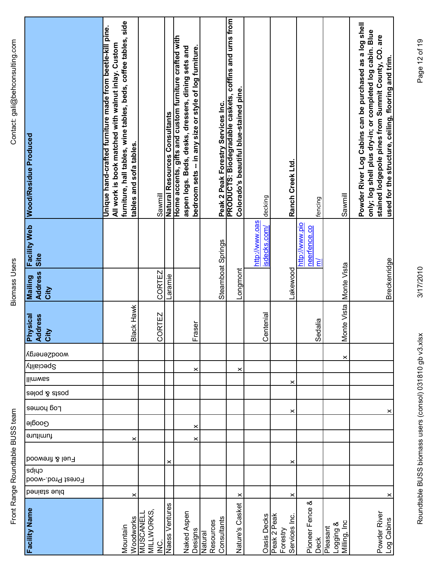| Contact: gali@behconsulting.com  | Wood/Residue Produced                     | furniture, hall tables, wine tables, beds, coffee tables, side<br>Unique hand-crafted furniture made from beetle-kill pine.<br>All work is book matched with walnut inlay. Custom<br>tables and sofa tables. | Sawmill                                 | Natural Resources Consultants | Home accents, gifts and custom furniture crafted with<br>bedroom sets -- in any size or style of log furniture.<br>aspen logs. Beds, desks, dressers, dining sets and | Peak 2 Peak Forestry Services Inc.  | PRODUCTS: Biodegradable caskets, coffins and urns from<br>Colorado's beautiful blue-stained pine. | decking                        |             | Ranch Creek Ltd.          | fencing                             | Sawmill                               | Powder River Log Cabins can be purchased as a log shell<br>only; log shell plus dry-in; or completed log cabin. Blue<br>stained lodgepole pines from Summit County, CO. are<br>used for the structure, ceiling, flooring and trim. |
|----------------------------------|-------------------------------------------|--------------------------------------------------------------------------------------------------------------------------------------------------------------------------------------------------------------|-----------------------------------------|-------------------------------|-----------------------------------------------------------------------------------------------------------------------------------------------------------------------|-------------------------------------|---------------------------------------------------------------------------------------------------|--------------------------------|-------------|---------------------------|-------------------------------------|---------------------------------------|------------------------------------------------------------------------------------------------------------------------------------------------------------------------------------------------------------------------------------|
|                                  | Facility Web<br>Site                      |                                                                                                                                                                                                              |                                         |                               |                                                                                                                                                                       | Steamboat Springs                   |                                                                                                   | http://www.oas<br>isdecks.com/ |             |                           | http://www.pio<br>neerfence.co<br>ξ |                                       |                                                                                                                                                                                                                                    |
| <b>Biomass Users</b>             | <b>Address</b><br><b>Builie M</b><br>City |                                                                                                                                                                                                              | CORTEZ                                  | Laramie                       |                                                                                                                                                                       |                                     | Longmont                                                                                          |                                |             | Lakewood                  |                                     | Monte Vista                           | Breckenridge                                                                                                                                                                                                                       |
|                                  | <b>Physical</b><br><b>Address</b><br>City | Black Hawk                                                                                                                                                                                                   | RTEZ<br>go                              |                               | Fraser                                                                                                                                                                |                                     |                                                                                                   | Centenial                      |             |                           | Sedalia                             | Monte Vista                           |                                                                                                                                                                                                                                    |
|                                  | wooqzeuergy                               |                                                                                                                                                                                                              |                                         |                               |                                                                                                                                                                       |                                     |                                                                                                   |                                |             |                           |                                     | ×                                     |                                                                                                                                                                                                                                    |
|                                  | <b>Speciality</b>                         |                                                                                                                                                                                                              |                                         |                               | ×                                                                                                                                                                     |                                     | ×                                                                                                 |                                |             |                           |                                     |                                       |                                                                                                                                                                                                                                    |
|                                  | <b>Ilimwas</b>                            |                                                                                                                                                                                                              |                                         |                               |                                                                                                                                                                       |                                     |                                                                                                   |                                |             | ×                         |                                     |                                       |                                                                                                                                                                                                                                    |
|                                  | posts & poles                             |                                                                                                                                                                                                              |                                         |                               |                                                                                                                                                                       |                                     |                                                                                                   |                                |             |                           |                                     |                                       |                                                                                                                                                                                                                                    |
|                                  | Log houses                                |                                                                                                                                                                                                              |                                         |                               |                                                                                                                                                                       |                                     |                                                                                                   |                                |             | ×                         |                                     |                                       | ×                                                                                                                                                                                                                                  |
|                                  | Google                                    |                                                                                                                                                                                                              |                                         |                               | ×                                                                                                                                                                     |                                     |                                                                                                   |                                |             |                           |                                     |                                       |                                                                                                                                                                                                                                    |
|                                  | furniture                                 | ×                                                                                                                                                                                                            |                                         |                               | ×                                                                                                                                                                     |                                     |                                                                                                   |                                |             |                           |                                     |                                       |                                                                                                                                                                                                                                    |
| Front Range Roundtable BUSS team | Fuel & firewood                           |                                                                                                                                                                                                              |                                         | ×                             |                                                                                                                                                                       |                                     |                                                                                                   |                                |             | ×                         |                                     |                                       |                                                                                                                                                                                                                                    |
|                                  | cuips                                     |                                                                                                                                                                                                              |                                         |                               |                                                                                                                                                                       |                                     |                                                                                                   |                                |             |                           |                                     |                                       |                                                                                                                                                                                                                                    |
|                                  | Forest Prod.-wood<br>benists suld         |                                                                                                                                                                                                              |                                         |                               |                                                                                                                                                                       |                                     |                                                                                                   |                                |             |                           |                                     |                                       |                                                                                                                                                                                                                                    |
|                                  |                                           | ×                                                                                                                                                                                                            |                                         |                               |                                                                                                                                                                       |                                     | $\times$                                                                                          |                                |             | ×                         |                                     |                                       | ×                                                                                                                                                                                                                                  |
|                                  | <b>Facility Name</b>                      | Woodworks<br>Mountain                                                                                                                                                                                        | MILLWORKS<br><b>MUSCANELI</b><br>ن<br>≧ | Naess Ventures                | Naked Aspen<br>Designs                                                                                                                                                | Consultants<br>Resources<br>Natural | Nature's Casket                                                                                   | <b>Oasis Decks</b>             | Peak 2 Peak | Services Inc.<br>Forestry | Pioneer Fence &<br><b>Deck</b>      | Milling, Inc<br>Logging &<br>Pleasant | Powder River<br>Log Cabins                                                                                                                                                                                                         |

Roundtable BUSS biomass users (consol) 031810 gb v3.xlsx 3/17/2010 Page 12 of 19<br>Roundtable BUSS Roundtable BUSS biomass users (consol) 031810 gb v3.xlsx

3/17/2010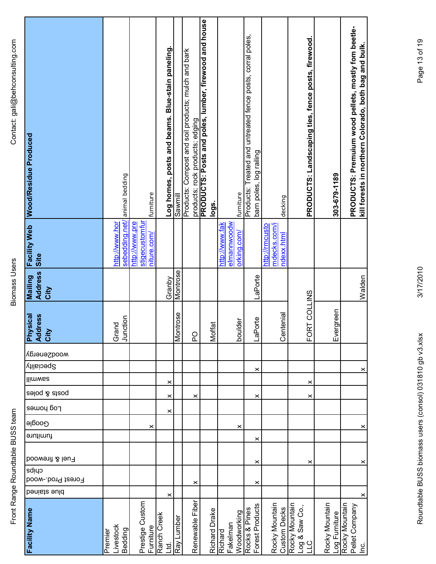| Facility Web Wood/Residue Produced       |                            | animal bedding |                                  | furniture   |             | Log homes, posts and beams. Blue-stain paneling. | Sawmill    | Products: Compost and soil products; mulch and bark | products; rock products; edging | PRODUCTS: Posts and poles, lumber, firewood and house<br>logs. |                |             | furniture   | Products: Treated and untreated fence posts, corral poles,<br>barn poles, log railing |                | decking                               |                |                       | PRODUCTS: Landscaping ties, fence posts, firewood. |                | 303-679-1189  | PRODUCTS: Premuium wood pellets, mostly fom beetle- | kill forests in northern Colorado, both bag and bulk. |
|------------------------------------------|----------------------------|----------------|----------------------------------|-------------|-------------|--------------------------------------------------|------------|-----------------------------------------------------|---------------------------------|----------------------------------------------------------------|----------------|-------------|-------------|---------------------------------------------------------------------------------------|----------------|---------------------------------------|----------------|-----------------------|----------------------------------------------------|----------------|---------------|-----------------------------------------------------|-------------------------------------------------------|
| Site                                     | http://www.hor             | sebedding.net/ | stigecustomfur<br>http://www.pre | niture.com/ |             |                                                  |            |                                                     |                                 |                                                                | http://www.fak | elmannwoodw | orking.com/ |                                                                                       | http://rmcusto | mdecks.com/i<br><u>ndexx.html</u>     |                |                       |                                                    |                |               |                                                     |                                                       |
| <b>Address</b><br><b>Mailing</b><br>City |                            |                |                                  |             |             | Granby                                           | Montrose   |                                                     |                                 |                                                                |                |             |             | LaPorte                                                                               |                |                                       |                |                       |                                                    |                |               |                                                     | Walden                                                |
| <b>Physical</b><br>Address<br>City       | Grand                      | Junction       |                                  |             |             |                                                  | Montrose   | <b>Q</b>                                            |                                 | Moffat                                                         |                |             | boulder     | LaPorte                                                                               |                | Centenial                             |                |                       | RT COLLINS<br><b>PD</b>                            |                | Evergreen     |                                                     |                                                       |
| wood2energy                              |                            |                |                                  |             |             |                                                  |            |                                                     |                                 |                                                                |                |             |             |                                                                                       |                |                                       |                |                       |                                                    |                |               |                                                     |                                                       |
| Speciality                               |                            |                |                                  |             |             |                                                  |            |                                                     |                                 |                                                                |                |             |             | ×                                                                                     |                |                                       |                |                       |                                                    |                |               |                                                     | ×                                                     |
| llimwaa                                  |                            |                |                                  |             |             | ×                                                |            |                                                     |                                 |                                                                |                |             |             |                                                                                       |                |                                       |                |                       | $\boldsymbol{\times}$                              |                |               |                                                     |                                                       |
| səloq & atzoq                            |                            |                |                                  |             |             | ×                                                |            |                                                     | ×                               |                                                                |                |             |             | $\pmb{\times}$                                                                        |                |                                       |                |                       | $\times$                                           |                |               |                                                     |                                                       |
| Log house                                |                            |                |                                  |             |             | ×                                                |            |                                                     |                                 |                                                                |                |             |             |                                                                                       |                |                                       |                |                       |                                                    |                |               |                                                     |                                                       |
| Google                                   |                            |                |                                  | ×           |             |                                                  |            |                                                     |                                 |                                                                |                |             | $\times$    |                                                                                       |                |                                       |                |                       |                                                    |                |               |                                                     | $\times$                                              |
| furniture                                |                            |                |                                  |             |             |                                                  |            |                                                     |                                 |                                                                |                |             |             | ×                                                                                     |                |                                       |                |                       |                                                    |                |               |                                                     |                                                       |
| Fuel & firewood                          |                            |                |                                  |             |             |                                                  |            |                                                     |                                 |                                                                |                |             |             | $\times$                                                                              |                |                                       |                |                       | ×                                                  |                |               |                                                     | $\boldsymbol{\times}$                                 |
| cuipa<br>Forest Prod.-wood               |                            |                |                                  |             |             |                                                  |            |                                                     |                                 |                                                                |                |             |             |                                                                                       |                |                                       |                |                       |                                                    |                |               |                                                     |                                                       |
| benists suld                             |                            |                |                                  |             |             | ×                                                |            | ×                                                   |                                 |                                                                |                |             |             | $\boldsymbol{\times}$                                                                 |                |                                       |                |                       |                                                    |                |               |                                                     | ×                                                     |
| Facility Name                            | <b>ivestock</b><br>Premier | Bedding        | Prestige Custom                  | Furniture   | Ranch Creek | ಕ್ಷ                                              | Ray Lumber | Renewable Fiber                                     |                                 | Richard Drake                                                  | Richard        | Fakelman    | Woodworking | Forest Products<br>Rocks & Pines                                                      |                | Rocky Mountain<br><b>Custom Decks</b> | Rocky Mountain | Log & Saw Co.,<br>LLC |                                                    | Rocky Mountain | -og Furniture | Rocky Mountain<br>Pellet Company                    | ن<br><u>ء</u>                                         |

3/17/2010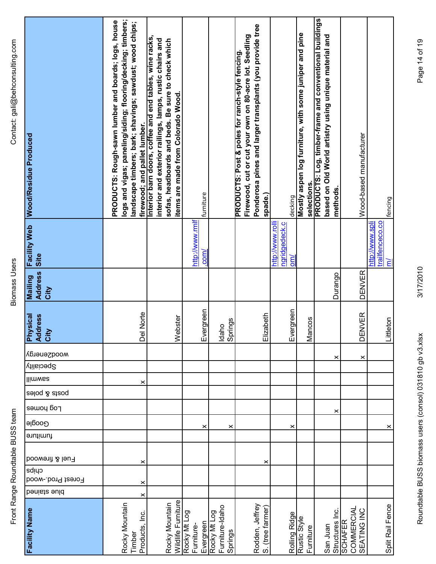| Contact: gali@behconsulting.com  | Wood/Residue Produced                     | logs and vigas; paneling/siding; flooring/decking; timbers;<br>PRODUCTS: Rough-sawn lumber and boards; logs, house<br>landscape timbers; bark; shavings; sawdust; wood chips;<br>firewood; and pallet lumber. | Interior barn doors, coffee and end tables, wine racks,<br>interior and exterior railings, lamps, rustic chairs and<br>sofas, headboards and beds. Be sure to check which<br>items are made from Colorado Wood. | furniture                               |                                            | Ponderosa pines and larger transplants (you provide tree<br>Firewood, cut or cut your own on 80-acre lot. Seedling<br>PRODUCTS: Post & poles for ranch-style fencing.<br>spade.) | decking                                                     | Mostly aspen log furniture, with some juniper and pine<br>selections. | PRODUCTS: Log, timber-frame and conventional buildings<br>based on Old World artistry using unique material and<br>methods. | Wood-based manufacturer                                        | fencing                                          |
|----------------------------------|-------------------------------------------|---------------------------------------------------------------------------------------------------------------------------------------------------------------------------------------------------------------|-----------------------------------------------------------------------------------------------------------------------------------------------------------------------------------------------------------------|-----------------------------------------|--------------------------------------------|----------------------------------------------------------------------------------------------------------------------------------------------------------------------------------|-------------------------------------------------------------|-----------------------------------------------------------------------|-----------------------------------------------------------------------------------------------------------------------------|----------------------------------------------------------------|--------------------------------------------------|
|                                  | <b>Facility Web</b><br>Site               |                                                                                                                                                                                                               |                                                                                                                                                                                                                 | http://www.rmlf<br>$com$                |                                            |                                                                                                                                                                                  | http://www.rolli<br>ngridgedeck.c<br>$\overline{\text{cm}}$ |                                                                       |                                                                                                                             |                                                                | trailfenceco.co<br>http://www.spli<br><u>त्र</u> |
| <b>Biomass Users</b>             | <b>Address</b><br><b>Mailing</b><br>City  |                                                                                                                                                                                                               |                                                                                                                                                                                                                 |                                         |                                            |                                                                                                                                                                                  |                                                             |                                                                       | Durango                                                                                                                     | <b>DENVER</b>                                                  |                                                  |
|                                  | <b>Physical</b><br><b>Address</b><br>City | Del Norte                                                                                                                                                                                                     | Webster                                                                                                                                                                                                         | Evergreen                               | Idaho<br>Springs                           | lizabeth<br>靣                                                                                                                                                                    | Evergreen                                                   | Mancos                                                                |                                                                                                                             | <b>DENVER</b>                                                  | Littleton                                        |
|                                  | <b>MOOQSenergy</b>                        |                                                                                                                                                                                                               |                                                                                                                                                                                                                 |                                         |                                            |                                                                                                                                                                                  |                                                             |                                                                       | ×                                                                                                                           | ×                                                              |                                                  |
|                                  | <b>Speciality</b>                         |                                                                                                                                                                                                               |                                                                                                                                                                                                                 |                                         |                                            |                                                                                                                                                                                  |                                                             |                                                                       |                                                                                                                             |                                                                |                                                  |
|                                  | llimwaa                                   | ×                                                                                                                                                                                                             |                                                                                                                                                                                                                 |                                         |                                            |                                                                                                                                                                                  |                                                             |                                                                       |                                                                                                                             |                                                                |                                                  |
|                                  | posts & poles                             |                                                                                                                                                                                                               |                                                                                                                                                                                                                 |                                         |                                            |                                                                                                                                                                                  |                                                             |                                                                       |                                                                                                                             |                                                                |                                                  |
|                                  | Log houses                                |                                                                                                                                                                                                               |                                                                                                                                                                                                                 |                                         |                                            |                                                                                                                                                                                  |                                                             |                                                                       | ×                                                                                                                           |                                                                |                                                  |
|                                  | Google                                    |                                                                                                                                                                                                               |                                                                                                                                                                                                                 | ×                                       | ×                                          |                                                                                                                                                                                  | ×                                                           |                                                                       |                                                                                                                             |                                                                | ×                                                |
|                                  | furniture                                 |                                                                                                                                                                                                               |                                                                                                                                                                                                                 |                                         |                                            |                                                                                                                                                                                  |                                                             |                                                                       |                                                                                                                             |                                                                |                                                  |
| Front Range Roundtable BUSS team | <b>boowenit &amp; leu</b><br>cuips        | ×                                                                                                                                                                                                             |                                                                                                                                                                                                                 |                                         |                                            | ×                                                                                                                                                                                |                                                             |                                                                       |                                                                                                                             |                                                                |                                                  |
|                                  | Forest Prod.-wood                         | ×                                                                                                                                                                                                             |                                                                                                                                                                                                                 |                                         |                                            |                                                                                                                                                                                  |                                                             |                                                                       |                                                                                                                             |                                                                |                                                  |
|                                  | benists suld                              | ×                                                                                                                                                                                                             |                                                                                                                                                                                                                 |                                         |                                            |                                                                                                                                                                                  |                                                             |                                                                       |                                                                                                                             |                                                                |                                                  |
|                                  | Facility Name                             | Rocky Mountain<br>Products, Inc.<br>Timber                                                                                                                                                                    | Wildlife Furniture<br>Rocky Mountain                                                                                                                                                                            | Rocky Mt Log<br>Evergreen<br>Furniture- | Furniture-Idaho<br>Rocky Mt Log<br>Springs | Rodden, Jeffrey<br>S. (tree farmer)                                                                                                                                              | Rolling Ridge                                               | Rustic Style<br>Furniture                                             | San Juan                                                                                                                    | <b>COMMERCIAL</b><br>SEATING INC<br>Structures Inc.<br>SCHAFER | Split Rail Fence                                 |

Page 14 of 19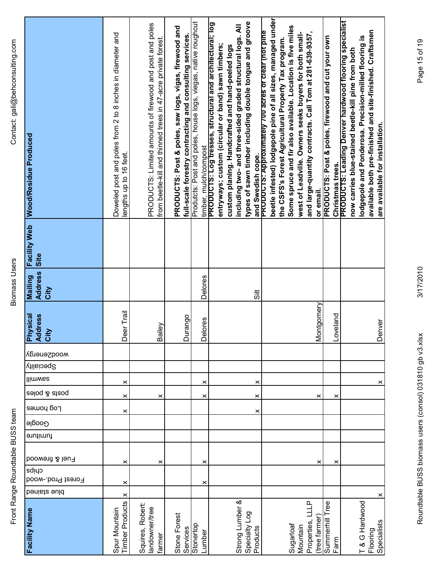| <b>Facility Web</b> Wood/Residue Produced | Doweled post and poles from 2 to 8 inches in diameter and<br>lengths up to 16 feet. | PRODUCTS: Limited amounts of firewood and post and poles<br>from beetle-kill and thinned trees in 47-acre private forest. | PRODUCTS: Post & poles, saw logs, vigas, firewood and<br>full-scale forestry contracting and consulting services. | Produtcts: Post and poles, house logs, viegas, native roughcut<br>timber, mulch/compost | types of sawn timber including double tongue and groove<br>PRODUCTS: Log tresses, structural and architectural; log<br>including two- and three-sided graded structural logs. All<br>entryways; custom (circular or band) sawn timbers;<br>custom planing. Handcrafted and hand-peeled logs<br>and Swedish cope. | beetle infested) lodgepole pine of all sizes, managed under<br>Some spruce and fir also available. Location is five miles<br>PRODUCTS: Approximately 700 acres of clear (not pine<br>and large-quantity contracts. Call Tom at 281-639-9357,<br>west of Leadville. Owners seeks buyers for both small-<br>the CSFS's Forest Agricultural Property Tax program.<br>or email. | PRODUCTS: Post & poles, firewood and cut your own<br>Christmas trees. | PRODUCTS: Leading Denver hardwood flooring specialist<br>available both pre-finished and site-finished. Craftsmen<br>lodgepole and Ponderosa. Precision-milled flooring is<br>now carries blue-stained beetle-kill pine from both<br>are available for installation. |
|-------------------------------------------|-------------------------------------------------------------------------------------|---------------------------------------------------------------------------------------------------------------------------|-------------------------------------------------------------------------------------------------------------------|-----------------------------------------------------------------------------------------|------------------------------------------------------------------------------------------------------------------------------------------------------------------------------------------------------------------------------------------------------------------------------------------------------------------|-----------------------------------------------------------------------------------------------------------------------------------------------------------------------------------------------------------------------------------------------------------------------------------------------------------------------------------------------------------------------------|-----------------------------------------------------------------------|----------------------------------------------------------------------------------------------------------------------------------------------------------------------------------------------------------------------------------------------------------------------|
| Site                                      |                                                                                     |                                                                                                                           |                                                                                                                   |                                                                                         |                                                                                                                                                                                                                                                                                                                  |                                                                                                                                                                                                                                                                                                                                                                             |                                                                       |                                                                                                                                                                                                                                                                      |
| <b>Address</b><br><b>Mailing</b><br>City  |                                                                                     |                                                                                                                           |                                                                                                                   | Delores                                                                                 | $\ddot{5}$                                                                                                                                                                                                                                                                                                       |                                                                                                                                                                                                                                                                                                                                                                             |                                                                       |                                                                                                                                                                                                                                                                      |
| <b>Physical</b><br><b>Address</b><br>City | Deer Trail                                                                          | $\mathbf{\hat{e}}$<br>Bail                                                                                                | Durango                                                                                                           | ores<br>Ďeŭ                                                                             |                                                                                                                                                                                                                                                                                                                  | Montgomery                                                                                                                                                                                                                                                                                                                                                                  | Loveland                                                              | <b>There</b><br>Der                                                                                                                                                                                                                                                  |
| wood2energy                               |                                                                                     |                                                                                                                           |                                                                                                                   |                                                                                         |                                                                                                                                                                                                                                                                                                                  |                                                                                                                                                                                                                                                                                                                                                                             |                                                                       |                                                                                                                                                                                                                                                                      |
| <b>Speciality</b>                         |                                                                                     |                                                                                                                           |                                                                                                                   |                                                                                         |                                                                                                                                                                                                                                                                                                                  |                                                                                                                                                                                                                                                                                                                                                                             |                                                                       |                                                                                                                                                                                                                                                                      |
| llimwaa                                   | ×                                                                                   |                                                                                                                           |                                                                                                                   | ×                                                                                       | ×                                                                                                                                                                                                                                                                                                                |                                                                                                                                                                                                                                                                                                                                                                             |                                                                       | ×                                                                                                                                                                                                                                                                    |
| posts & poles<br>Log bouse                | ×                                                                                   | ×                                                                                                                         |                                                                                                                   | ×                                                                                       | ×                                                                                                                                                                                                                                                                                                                | ×                                                                                                                                                                                                                                                                                                                                                                           | ×                                                                     |                                                                                                                                                                                                                                                                      |
| Google                                    | ×                                                                                   |                                                                                                                           |                                                                                                                   |                                                                                         | ×                                                                                                                                                                                                                                                                                                                |                                                                                                                                                                                                                                                                                                                                                                             |                                                                       |                                                                                                                                                                                                                                                                      |
| furniture                                 |                                                                                     |                                                                                                                           |                                                                                                                   |                                                                                         |                                                                                                                                                                                                                                                                                                                  |                                                                                                                                                                                                                                                                                                                                                                             |                                                                       |                                                                                                                                                                                                                                                                      |
| Fuel & firewood<br>cuips                  | ×                                                                                   | ×                                                                                                                         |                                                                                                                   | ×                                                                                       |                                                                                                                                                                                                                                                                                                                  | ×                                                                                                                                                                                                                                                                                                                                                                           | ×                                                                     |                                                                                                                                                                                                                                                                      |
| Forest Prod.-wood                         | $\geq$                                                                              |                                                                                                                           |                                                                                                                   | ×                                                                                       |                                                                                                                                                                                                                                                                                                                  |                                                                                                                                                                                                                                                                                                                                                                             |                                                                       |                                                                                                                                                                                                                                                                      |
| benists suld                              | $\boldsymbol{\times}$                                                               |                                                                                                                           |                                                                                                                   |                                                                                         |                                                                                                                                                                                                                                                                                                                  |                                                                                                                                                                                                                                                                                                                                                                             |                                                                       | ×                                                                                                                                                                                                                                                                    |
| <b>Facility Name</b>                      | imber Products<br>Spur Mountain                                                     | Squires, Robert:<br>landowner/tree<br>farmer                                                                              | Stone Forest<br>Services                                                                                          | Stonertop<br>Lumber                                                                     | Strong Lumber &<br>Specialty Log<br>Products                                                                                                                                                                                                                                                                     | LLLP<br>(tree farmer)<br>Properties,<br>Sugarloaf<br>Mountain                                                                                                                                                                                                                                                                                                               | Summerhill Tree<br>Farm                                               | T & G Hardwood<br>Specialists<br>Flooring                                                                                                                                                                                                                            |

Roundtable BUSS biomass users (consol) 031810 gb v3.xlsx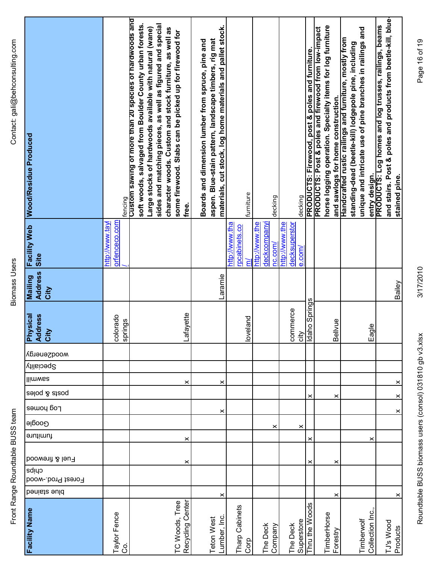**Biomass Users** 

| <b>Wood/Residue Produced</b>           | fencing                          | Custom sawing of more than 20 species of hardwoods and<br>soft woods, salvaged from Boulder County urban forests. | sides and matching pieces, as well as figured and special<br>Large stocks of hardwoods available with natural (wane)<br>character woods. Custom and stock furniture, as well as<br>some firewood. Slabs can be picked up for firewood for | free.                 | materials, cut stock, log home materials and pallet stock.<br>aspen. Blue-stain pattern, landscape timbers, rig mat<br>Boards and dimension lumber from spruce, pine and |                | furniture                 |                | decking                 |                |               | decking      | PRODUCTS: Firewood, post & poles and furniture. | horse logging operation. Specialty items for log furniture<br>PRODUCTS: Post & poles and firewood from low-impact | Handcrafted rustic railings and furniture, mostly from<br>and sawlogs for home construction. | standing-dead (beetle-kill) lodgepole pine, including | unique and intricate use of pine branches in railings and | entry design.   | and stairs. Post & poles and products from beetle-kill, blue-<br>PRODUCTS: Log homes and log trusses, railings, beams | stained pine. |
|----------------------------------------|----------------------------------|-------------------------------------------------------------------------------------------------------------------|-------------------------------------------------------------------------------------------------------------------------------------------------------------------------------------------------------------------------------------------|-----------------------|--------------------------------------------------------------------------------------------------------------------------------------------------------------------------|----------------|---------------------------|----------------|-------------------------|----------------|---------------|--------------|-------------------------------------------------|-------------------------------------------------------------------------------------------------------------------|----------------------------------------------------------------------------------------------|-------------------------------------------------------|-----------------------------------------------------------|-----------------|-----------------------------------------------------------------------------------------------------------------------|---------------|
| <b>Facility Web</b><br>Site            | orfenceco.com<br>http://www.tayl |                                                                                                                   |                                                                                                                                                                                                                                           |                       |                                                                                                                                                                          | http://www.tha | rpcabinets.co<br>ξ        | http://www.the | deckcompanyi<br>nc.com/ | http://www.the | decksuperstor | $e_{.}$ com/ |                                                 |                                                                                                                   |                                                                                              |                                                       |                                                           |                 |                                                                                                                       |               |
| <b>Address</b><br>Mailing<br>City      |                                  |                                                                                                                   |                                                                                                                                                                                                                                           |                       | Laramie                                                                                                                                                                  |                |                           |                |                         |                |               |              |                                                 |                                                                                                                   |                                                                                              |                                                       |                                                           |                 |                                                                                                                       | Bailey        |
| Physical<br><b>ess</b><br>Addr<br>City | ado<br>springs<br>colora         |                                                                                                                   |                                                                                                                                                                                                                                           | Lafayette             |                                                                                                                                                                          |                | loveland                  |                |                         |                | commerce      | city         | Idaho Springs                                   |                                                                                                                   | Ψ<br>Bellv                                                                                   |                                                       |                                                           | Eagle           |                                                                                                                       |               |
| <b>Mood2energy</b>                     |                                  |                                                                                                                   |                                                                                                                                                                                                                                           |                       |                                                                                                                                                                          |                |                           |                |                         |                |               |              |                                                 |                                                                                                                   |                                                                                              |                                                       |                                                           |                 |                                                                                                                       |               |
| Speciality                             |                                  |                                                                                                                   |                                                                                                                                                                                                                                           |                       |                                                                                                                                                                          |                |                           |                |                         |                |               |              |                                                 |                                                                                                                   |                                                                                              |                                                       |                                                           |                 |                                                                                                                       |               |
| llimwaa                                |                                  |                                                                                                                   |                                                                                                                                                                                                                                           | ×                     | ×                                                                                                                                                                        |                |                           |                |                         |                |               |              |                                                 |                                                                                                                   |                                                                                              |                                                       |                                                           |                 |                                                                                                                       | $\times$      |
| posts & poles<br>Log homes             |                                  |                                                                                                                   |                                                                                                                                                                                                                                           |                       |                                                                                                                                                                          |                |                           |                |                         |                |               |              | ×                                               |                                                                                                                   | ×                                                                                            |                                                       |                                                           |                 |                                                                                                                       | $\times$      |
| Google                                 |                                  |                                                                                                                   |                                                                                                                                                                                                                                           |                       | ×                                                                                                                                                                        |                |                           |                |                         |                |               |              |                                                 |                                                                                                                   |                                                                                              |                                                       |                                                           |                 |                                                                                                                       | $\times$      |
| furniture                              |                                  |                                                                                                                   |                                                                                                                                                                                                                                           | $\boldsymbol{\times}$ |                                                                                                                                                                          |                |                           |                | ×                       |                |               | ×            | ×                                               |                                                                                                                   |                                                                                              |                                                       |                                                           | ×               |                                                                                                                       |               |
| Fuel & firewood                        |                                  |                                                                                                                   |                                                                                                                                                                                                                                           | ×                     |                                                                                                                                                                          |                |                           |                |                         |                |               |              | ×                                               |                                                                                                                   | ×                                                                                            |                                                       |                                                           |                 |                                                                                                                       |               |
| cuips<br>Forest Prod.-wood             |                                  |                                                                                                                   |                                                                                                                                                                                                                                           |                       |                                                                                                                                                                          |                |                           |                |                         |                |               |              |                                                 |                                                                                                                   |                                                                                              |                                                       |                                                           |                 |                                                                                                                       |               |
| benists ould                           |                                  |                                                                                                                   |                                                                                                                                                                                                                                           |                       | ×                                                                                                                                                                        |                |                           |                |                         |                |               |              |                                                 |                                                                                                                   | ×                                                                                            |                                                       |                                                           |                 |                                                                                                                       | ×             |
| Facility Name                          | Taylor Fence<br>$\mathcal{S}$    |                                                                                                                   | TC Woods, Tree                                                                                                                                                                                                                            | Recycling Center      | Lumber, Inc<br>Teton West                                                                                                                                                |                | Tharp Cabinets<br>$C$ orp |                | The Deck<br>Company     |                | The Deck      | Superstore   | Thru the Woods                                  | TimberHorse                                                                                                       | Forestry                                                                                     |                                                       | Timberwolf                                                | Collection Inc. | TJ's Wood                                                                                                             | Products      |

Page 16 of 19

3/17/2010

Roundtable BUSS biomass users (consol) 031810 gb v3.xlsx 3/17/2010 Page 16 of 19<br>Roundtable BUSS Roundtable BUSS biomass users (consol) 031810 gb v3.xlsx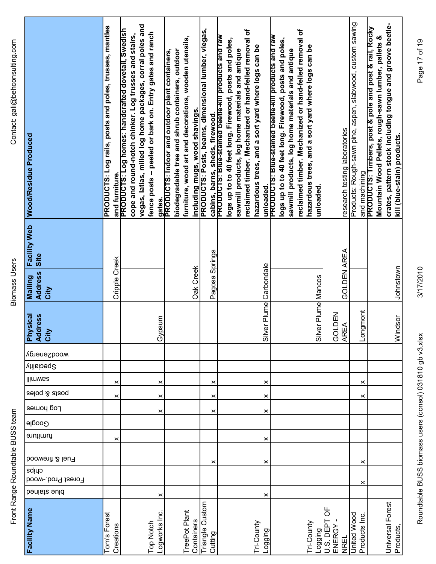| i<br>2<br>2<br>2<br>2<br>)<br>.<br>הממה ו<br>I<br>)<br>5<br>5<br>5<br>Ó |  |
|-------------------------------------------------------------------------|--|
| ;<br>>>>>><br>ical lear<br>うこう<br>í                                     |  |
| $\frac{1}{2}$                                                           |  |

| Wood/Residue Produced                               | PRODUCTS: Log rails, posts and poles, trusses, mantles | vegas, latias, milled log home packages, corral poles and<br>and furniture.<br>PRODUCTS: Log homes: handcrafted dovetail, Swedish<br>fence posts -- peeled or bark on. Entry gates and ranch<br>cope and round-notch chinker. Log trusses and stairs,<br>gates | furniture, wood art and decorations, wooden utensils,<br>biodegradable tree and shrub containers, outdoor<br><b>PRODUCTS: Indoor and outdoor plant containers,</b><br>including mugs, wood shavings. | PRODUCTS: Posts, beams, dimensional lumber, viegas,<br>cabins, barns, sheds, firewood.<br>PRODUCTS: Blue-stained beetle-kill products and raw | reclaimed timber. Mechanized or hand-felled removal of<br>unloaded.<br>PRODUCTS: Blue-stained beetle-kill products and raw<br>logs up to to 40 feet long. Firewood, posts and poles,<br>hazardous trees, and a sort yard where logs can be<br>sawmill products, log home materials and antique | reclaimed timber. Mechanized or hand-felled removal of<br>logs up to to 40 feet long. Firewood, posts and poles,<br>hazardous trees, and a sort yard where logs can be<br>sawmill products, log home materials and antique<br>unloaded. | research testing laboratories            | Products: Rough-sawn pine, aspen, slabwood, custom sawing | crates, pattern stock including tongue and groove beetle-<br>and machining<br>PRODUCTS: Timbers, post & pole and post & rail, Rocky<br>Mountain Wood Pellets, rough-sawn lumber, pallets &<br>kill (blue-stain) products. |
|-----------------------------------------------------|--------------------------------------------------------|----------------------------------------------------------------------------------------------------------------------------------------------------------------------------------------------------------------------------------------------------------------|------------------------------------------------------------------------------------------------------------------------------------------------------------------------------------------------------|-----------------------------------------------------------------------------------------------------------------------------------------------|------------------------------------------------------------------------------------------------------------------------------------------------------------------------------------------------------------------------------------------------------------------------------------------------|-----------------------------------------------------------------------------------------------------------------------------------------------------------------------------------------------------------------------------------------|------------------------------------------|-----------------------------------------------------------|---------------------------------------------------------------------------------------------------------------------------------------------------------------------------------------------------------------------------|
| <b>Facility Web</b><br>Site                         |                                                        |                                                                                                                                                                                                                                                                |                                                                                                                                                                                                      |                                                                                                                                               |                                                                                                                                                                                                                                                                                                |                                                                                                                                                                                                                                         |                                          |                                                           |                                                                                                                                                                                                                           |
| <b>Address</b><br>Mailing<br>City                   | Cripple Creek                                          |                                                                                                                                                                                                                                                                | Oak Creek                                                                                                                                                                                            | Pagosa Springs                                                                                                                                |                                                                                                                                                                                                                                                                                                |                                                                                                                                                                                                                                         | <b>GOLDEN AREA</b>                       |                                                           | Johnstown                                                                                                                                                                                                                 |
| <b>ysical</b><br><b>Physical</b><br>Address<br>City |                                                        | msq<br>ଟ୍ର                                                                                                                                                                                                                                                     |                                                                                                                                                                                                      |                                                                                                                                               | Silver Plume Carbondale                                                                                                                                                                                                                                                                        | Silver Plume Mancos                                                                                                                                                                                                                     | GOLDEN<br>$\mathbb{E}$<br>$\overline{R}$ | <b>Longmont</b>                                           | Windsor                                                                                                                                                                                                                   |
| wooqzeuergy                                         |                                                        |                                                                                                                                                                                                                                                                |                                                                                                                                                                                                      |                                                                                                                                               |                                                                                                                                                                                                                                                                                                |                                                                                                                                                                                                                                         |                                          |                                                           |                                                                                                                                                                                                                           |
| Speciality                                          |                                                        |                                                                                                                                                                                                                                                                |                                                                                                                                                                                                      |                                                                                                                                               |                                                                                                                                                                                                                                                                                                |                                                                                                                                                                                                                                         |                                          |                                                           |                                                                                                                                                                                                                           |
| <b>Ilimwas</b>                                      | ×                                                      | ×                                                                                                                                                                                                                                                              |                                                                                                                                                                                                      | ×                                                                                                                                             | ×                                                                                                                                                                                                                                                                                              |                                                                                                                                                                                                                                         |                                          | ×                                                         |                                                                                                                                                                                                                           |
| posts & poles                                       | ×                                                      | ×                                                                                                                                                                                                                                                              |                                                                                                                                                                                                      | ×                                                                                                                                             | ×                                                                                                                                                                                                                                                                                              |                                                                                                                                                                                                                                         |                                          | ×                                                         |                                                                                                                                                                                                                           |
| Log houes                                           |                                                        | ×                                                                                                                                                                                                                                                              |                                                                                                                                                                                                      | ×                                                                                                                                             | ×                                                                                                                                                                                                                                                                                              |                                                                                                                                                                                                                                         |                                          |                                                           |                                                                                                                                                                                                                           |
| Google                                              |                                                        |                                                                                                                                                                                                                                                                |                                                                                                                                                                                                      |                                                                                                                                               |                                                                                                                                                                                                                                                                                                |                                                                                                                                                                                                                                         |                                          |                                                           |                                                                                                                                                                                                                           |
| furniture                                           | ×                                                      |                                                                                                                                                                                                                                                                |                                                                                                                                                                                                      |                                                                                                                                               | ×                                                                                                                                                                                                                                                                                              |                                                                                                                                                                                                                                         |                                          |                                                           |                                                                                                                                                                                                                           |
| Fuel & firewood                                     |                                                        |                                                                                                                                                                                                                                                                |                                                                                                                                                                                                      | ×                                                                                                                                             | ×                                                                                                                                                                                                                                                                                              |                                                                                                                                                                                                                                         |                                          | ×                                                         |                                                                                                                                                                                                                           |
| cuips<br>Forest Prod.-wood                          |                                                        |                                                                                                                                                                                                                                                                |                                                                                                                                                                                                      |                                                                                                                                               |                                                                                                                                                                                                                                                                                                |                                                                                                                                                                                                                                         |                                          |                                                           |                                                                                                                                                                                                                           |
| benists ould                                        |                                                        | ×                                                                                                                                                                                                                                                              |                                                                                                                                                                                                      |                                                                                                                                               | ×                                                                                                                                                                                                                                                                                              |                                                                                                                                                                                                                                         |                                          | ×                                                         |                                                                                                                                                                                                                           |
| Facility Name                                       | Tom's Forest<br>Creations                              | -ogworks Inc.<br>Top Notch                                                                                                                                                                                                                                     | TreePot Plant<br>Containers                                                                                                                                                                          | <b>Triangle Custom</b><br>Cutting                                                                                                             | Tri-County<br>Logging                                                                                                                                                                                                                                                                          | <b>Tri-County</b><br>Logging<br>U.S. DEPT                                                                                                                                                                                               | ENERGY<br>NREL                           | <b>United Wood</b><br>Products Inc.                       | Universal Forest<br>Products                                                                                                                                                                                              |

Page 17 of 19

3/17/2010

Roundtable BUSS biomass users (consol) 031810 gb v3.xlsx 3/17/2010 Page 17 of 19<br>Roundtable BUSS Roundtable BUSS biomass users (consol) 031810 gb v3.xlsx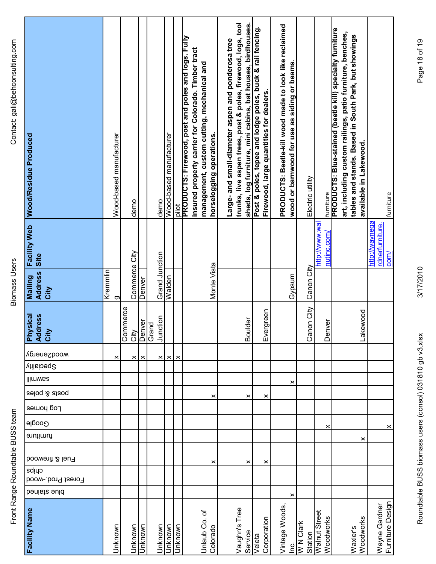| Facility Web Wood/Residue Produced<br>Site<br><b>Address</b><br><b>Mailing</b><br>City<br><b>Physical</b><br>Address<br>City<br>wooqzeuergy<br>Speciality<br>llimwaa<br>poats & poles<br>Log homes<br>Google<br>furniture<br>Fuel & firewood<br>cuipa<br>Forest Prod.-wood | Kremmlin | Wood-based manufacturer<br>g<br>× | demo<br>Commerce City<br>Commerce<br>City<br>× | Denver<br>Denver<br>× | demo<br>Grand Junction<br>Junction<br>Grand<br>× | Wood-based manufacturer<br>Walden<br>$\times$ | $\frac{1}{2}$<br>$\times$ | PRODUCTS: Firewood, post and poles and logs. Fully<br>insured property carrier for Colorado. Timber tract<br>management, custom cutting, mechanical and | horselogging operations.<br>Monte Vista<br>×<br>× | trunks, live aspen trees, post & poles, firewood, logs, tool<br>sheds, log furniture, mini cabins, bat houses, birdhouses.<br>Large- and small-diameter aspen and ponderosa tree<br><b>Boulder</b><br>×<br>× | Post & poles, tepee and lodge poles, buck & rail fencing. | Firewood, large quantities for dealers<br>Evergreen<br>×<br>× | PRODUCTS: Beetle-kill wood made to look like reclaimed<br>wood or barnwood for use as siding or beams<br>Gypsum<br>$\boldsymbol{\times}$ | Electric utility<br>Canon City<br>Canon City | furniture<br>http://www.wal<br>nutinc.com/<br>Den<br>× | <b>PRODUCTS: Blue-stained (beetle kill) specialty furniture</b><br>art, including custom railings, patio furniture, benches,<br>tables and stands. Based in South Park, but showings<br>available in Lakewood.<br>Lakewood<br>iver<br>× | ebəu/em//:diµ<br>rdnerfurniture. |
|----------------------------------------------------------------------------------------------------------------------------------------------------------------------------------------------------------------------------------------------------------------------------|----------|-----------------------------------|------------------------------------------------|-----------------------|--------------------------------------------------|-----------------------------------------------|---------------------------|---------------------------------------------------------------------------------------------------------------------------------------------------------|---------------------------------------------------|--------------------------------------------------------------------------------------------------------------------------------------------------------------------------------------------------------------|-----------------------------------------------------------|---------------------------------------------------------------|------------------------------------------------------------------------------------------------------------------------------------------|----------------------------------------------|--------------------------------------------------------|-----------------------------------------------------------------------------------------------------------------------------------------------------------------------------------------------------------------------------------------|----------------------------------|
|                                                                                                                                                                                                                                                                            |          |                                   |                                                |                       |                                                  |                                               |                           |                                                                                                                                                         |                                                   |                                                                                                                                                                                                              |                                                           |                                                               |                                                                                                                                          |                                              |                                                        |                                                                                                                                                                                                                                         |                                  |
| benists suld                                                                                                                                                                                                                                                               |          |                                   |                                                |                       |                                                  |                                               |                           |                                                                                                                                                         |                                                   |                                                                                                                                                                                                              |                                                           |                                                               | ×                                                                                                                                        |                                              |                                                        |                                                                                                                                                                                                                                         |                                  |
| <b>Facility Name</b>                                                                                                                                                                                                                                                       |          | Unknown                           | Unknown                                        | Jnknown               | Unknown                                          | Jnknown                                       | Unknown                   | Unlaub Co. of                                                                                                                                           | Colorado                                          | Vaughn's Tree<br>Service                                                                                                                                                                                     | Veleta                                                    | Corporation                                                   | Vintage Woods<br>ن<br>ا                                                                                                                  | W N Clark<br>Station                         | Walnut Street<br>Woodworks                             | Woodworks<br>Waxler's                                                                                                                                                                                                                   | Wayne Gardner                    |

Page 18 of 19

3/17/2010

Roundtable BUSS biomass users (consol) 031810 gb v3.xlsx 3/17/2010 Page 18 of 18 of 18 of 19 of 19 of 19 of 19 Roundtable BUSS biomass users (consol) 031810 gb v3.xlsx